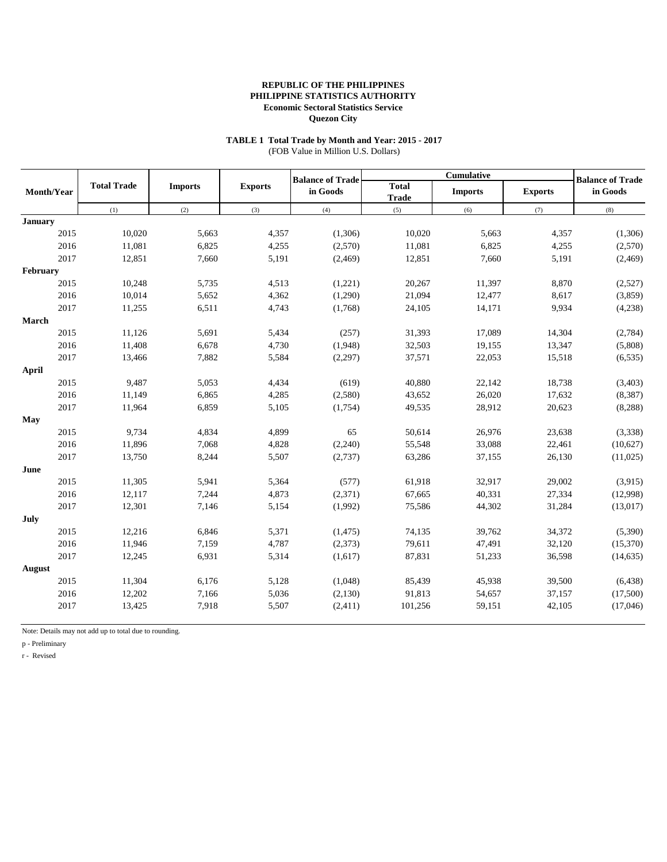# **TABLE 1 Total Trade by Month and Year: 2015 - 2017**

(FOB Value in Million U.S. Dollars)

|                |                    |                |                | <b>Balance of Trade</b> |                              | <b>Cumulative</b> |                | <b>Balance of Trade</b> |  |
|----------------|--------------------|----------------|----------------|-------------------------|------------------------------|-------------------|----------------|-------------------------|--|
| Month/Year     | <b>Total Trade</b> | <b>Imports</b> | <b>Exports</b> | in Goods                | <b>Total</b><br><b>Trade</b> | <b>Imports</b>    | <b>Exports</b> | in Goods                |  |
|                | (1)                | (2)            | (3)            | (4)                     | (5)                          | (6)               | (7)            | (8)                     |  |
| <b>January</b> |                    |                |                |                         |                              |                   |                |                         |  |
| 2015           | 10,020             | 5,663          | 4,357          | (1,306)                 | 10,020                       | 5,663             | 4,357          | (1,306)                 |  |
| 2016           | 11,081             | 6,825          | 4,255          | (2,570)                 | 11,081                       | 6,825             | 4,255          | (2,570)                 |  |
| 2017           | 12,851             | 7,660          | 5,191          | (2, 469)                | 12,851                       | 7,660             | 5,191          | (2, 469)                |  |
| February       |                    |                |                |                         |                              |                   |                |                         |  |
| 2015           | 10,248             | 5,735          | 4,513          | (1,221)                 | 20,267                       | 11,397            | 8,870          | (2,527)                 |  |
| 2016           | 10,014             | 5,652          | 4,362          | (1,290)                 | 21,094                       | 12,477            | 8,617          | (3,859)                 |  |
| 2017           | 11,255             | 6,511          | 4,743          | (1,768)                 | 24,105                       | 14,171            | 9,934          | (4,238)                 |  |
| March          |                    |                |                |                         |                              |                   |                |                         |  |
| 2015           | 11,126             | 5,691          | 5,434          | (257)                   | 31,393                       | 17,089            | 14,304         | (2,784)                 |  |
| 2016           | 11,408             | 6,678          | 4,730          | (1,948)                 | 32,503                       | 19,155            | 13,347         | (5,808)                 |  |
| 2017           | 13,466             | 7,882          | 5,584          | (2,297)                 | 37,571                       | 22,053            | 15,518         | (6, 535)                |  |
| April          |                    |                |                |                         |                              |                   |                |                         |  |
| 2015           | 9,487              | 5,053          | 4,434          | (619)                   | 40,880                       | 22,142            | 18,738         | (3, 403)                |  |
| 2016           | 11,149             | 6,865          | 4,285          | (2,580)                 | 43,652                       | 26,020            | 17,632         | (8, 387)                |  |
| 2017           | 11,964             | 6,859          | 5,105          | (1,754)                 | 49,535                       | 28,912            | 20,623         | (8, 288)                |  |
| May            |                    |                |                |                         |                              |                   |                |                         |  |
| 2015           | 9,734              | 4,834          | 4,899          | 65                      | 50,614                       | 26,976            | 23,638         | (3,338)                 |  |
| 2016           | 11,896             | 7,068          | 4,828          | (2,240)                 | 55,548                       | 33,088            | 22,461         | (10,627)                |  |
| 2017           | 13,750             | 8,244          | 5,507          | (2,737)                 | 63,286                       | 37,155            | 26,130         | (11,025)                |  |
| June           |                    |                |                |                         |                              |                   |                |                         |  |
| 2015           | 11,305             | 5,941          | 5,364          | (577)                   | 61,918                       | 32,917            | 29,002         | (3,915)                 |  |
| 2016           | 12,117             | 7,244          | 4,873          | (2,371)                 | 67,665                       | 40,331            | 27,334         | (12,998)                |  |
| 2017           | 12,301             | 7,146          | 5,154          | (1,992)                 | 75,586                       | 44,302            | 31,284         | (13, 017)               |  |
| July           |                    |                |                |                         |                              |                   |                |                         |  |
| 2015           | 12,216             | 6,846          | 5,371          | (1, 475)                | 74,135                       | 39,762            | 34,372         | (5,390)                 |  |
| 2016           | 11,946             | 7,159          | 4,787          | (2,373)                 | 79,611                       | 47,491            | 32,120         | (15,370)                |  |
| 2017           | 12,245             | 6,931          | 5,314          | (1,617)                 | 87,831                       | 51,233            | 36,598         | (14, 635)               |  |
| August         |                    |                |                |                         |                              |                   |                |                         |  |
| 2015           | 11,304             | 6,176          | 5,128          | (1,048)                 | 85,439                       | 45,938            | 39,500         | (6, 438)                |  |
| 2016           | 12,202             | 7,166          | 5,036          | (2,130)                 | 91,813                       | 54,657            | 37,157         | (17,500)                |  |
| 2017           | 13,425             | 7,918          | 5,507          | (2,411)                 | 101,256                      | 59,151            | 42,105         | (17,046)                |  |
|                |                    |                |                |                         |                              |                   |                |                         |  |

Note: Details may not add up to total due to rounding.

p - Preliminary

r - Revised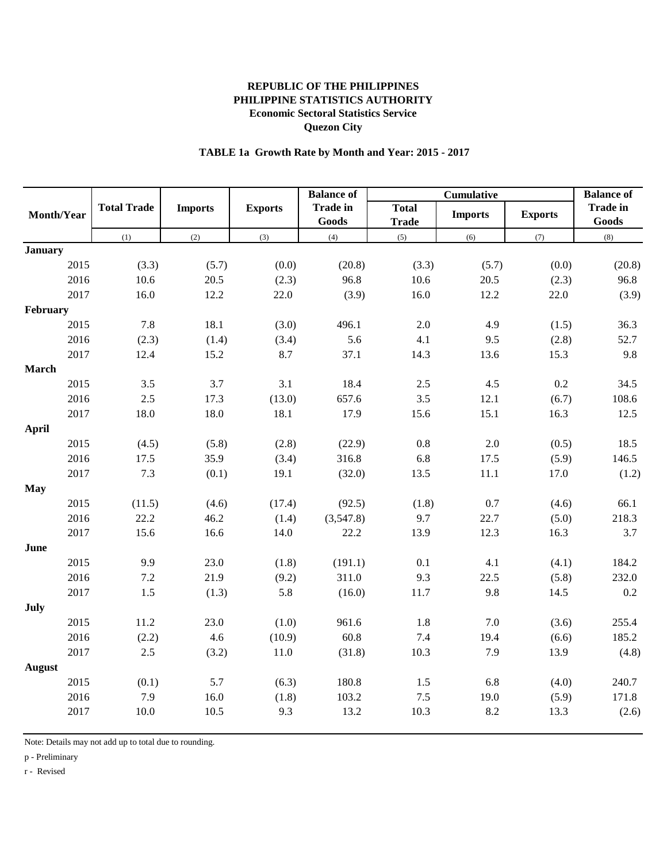# **TABLE 1a Growth Rate by Month and Year: 2015 - 2017**

|                |                    |                |                | <b>Balance of</b>        |                              |                | <b>Balance of</b> |                          |
|----------------|--------------------|----------------|----------------|--------------------------|------------------------------|----------------|-------------------|--------------------------|
| Month/Year     | <b>Total Trade</b> | <b>Imports</b> | <b>Exports</b> | <b>Trade in</b><br>Goods | <b>Total</b><br><b>Trade</b> | <b>Imports</b> | <b>Exports</b>    | <b>Trade in</b><br>Goods |
|                | (1)                | (2)            | (3)            | (4)                      | (5)                          | (6)            | (7)               | (8)                      |
| <b>January</b> |                    |                |                |                          |                              |                |                   |                          |
| 2015           | (3.3)              | (5.7)          | (0.0)          | (20.8)                   | (3.3)                        | (5.7)          | (0.0)             | (20.8)                   |
| 2016           | 10.6               | 20.5           | (2.3)          | 96.8                     | 10.6                         | 20.5           | (2.3)             | 96.8                     |
| 2017           | 16.0               | 12.2           | 22.0           | (3.9)                    | 16.0                         | 12.2           | 22.0              | (3.9)                    |
| February       |                    |                |                |                          |                              |                |                   |                          |
| 2015           | 7.8                | 18.1           | (3.0)          | 496.1                    | 2.0                          | 4.9            | (1.5)             | 36.3                     |
| 2016           | (2.3)              | (1.4)          | (3.4)          | 5.6                      | 4.1                          | 9.5            | (2.8)             | 52.7                     |
| 2017           | 12.4               | 15.2           | 8.7            | 37.1                     | 14.3                         | 13.6           | 15.3              | 9.8                      |
| <b>March</b>   |                    |                |                |                          |                              |                |                   |                          |
| 2015           | 3.5                | 3.7            | 3.1            | 18.4                     | 2.5                          | 4.5            | 0.2               | 34.5                     |
| 2016           | $2.5\,$            | 17.3           | (13.0)         | 657.6                    | 3.5                          | 12.1           | (6.7)             | 108.6                    |
| 2017           | 18.0               | 18.0           | 18.1           | 17.9                     | 15.6                         | 15.1           | 16.3              | 12.5                     |
| <b>April</b>   |                    |                |                |                          |                              |                |                   |                          |
| 2015           | (4.5)              | (5.8)          | (2.8)          | (22.9)                   | 0.8                          | $2.0\,$        | (0.5)             | 18.5                     |
| 2016           | 17.5               | 35.9           | (3.4)          | 316.8                    | 6.8                          | 17.5           | (5.9)             | 146.5                    |
| 2017           | 7.3                | (0.1)          | 19.1           | (32.0)                   | 13.5                         | 11.1           | 17.0              | (1.2)                    |
| <b>May</b>     |                    |                |                |                          |                              |                |                   |                          |
| 2015           | (11.5)             | (4.6)          | (17.4)         | (92.5)                   | (1.8)                        | 0.7            | (4.6)             | 66.1                     |
| 2016           | 22.2               | 46.2           | (1.4)          | (3,547.8)                | 9.7                          | 22.7           | (5.0)             | 218.3                    |
| 2017           | 15.6               | 16.6           | 14.0           | 22.2                     | 13.9                         | 12.3           | 16.3              | 3.7                      |
| June           |                    |                |                |                          |                              |                |                   |                          |
| 2015           | 9.9                | 23.0           | (1.8)          | (191.1)                  | 0.1                          | 4.1            | (4.1)             | 184.2                    |
| 2016           | $7.2\,$            | 21.9           | (9.2)          | 311.0                    | 9.3                          | 22.5           | (5.8)             | 232.0                    |
| 2017           | 1.5                | (1.3)          | 5.8            | (16.0)                   | 11.7                         | 9.8            | 14.5              | 0.2                      |
| <b>July</b>    |                    |                |                |                          |                              |                |                   |                          |
| 2015           | 11.2               | 23.0           | (1.0)          | 961.6                    | $1.8\,$                      | 7.0            | (3.6)             | 255.4                    |
| 2016           | (2.2)              | 4.6            | (10.9)         | 60.8                     | 7.4                          | 19.4           | (6.6)             | 185.2                    |
| 2017           | 2.5                | (3.2)          | 11.0           | (31.8)                   | 10.3                         | 7.9            | 13.9              | (4.8)                    |
| <b>August</b>  |                    |                |                |                          |                              |                |                   |                          |
| 2015           | (0.1)              | 5.7            | (6.3)          | 180.8                    | 1.5                          | 6.8            | (4.0)             | 240.7                    |
| 2016           | 7.9                | 16.0           | (1.8)          | 103.2                    | $7.5$                        | 19.0           | (5.9)             | 171.8                    |
| 2017           | 10.0               | 10.5           | 9.3            | 13.2                     | 10.3                         | 8.2            | 13.3              | (2.6)                    |
|                |                    |                |                |                          |                              |                |                   |                          |

Note: Details may not add up to total due to rounding.

p - Preliminary

r - Revised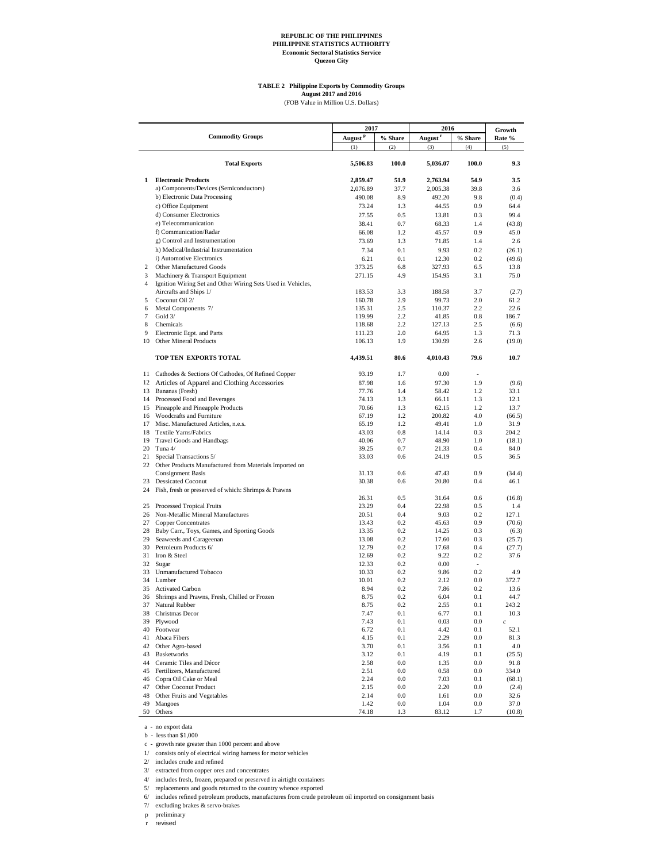## **TABLE 2 Philippine Exports by Commodity Groups**

August 2017 and 2016<br>(FOB Value in Million U.S. Dollars)

|                |                                                                           | 2017                |            | 2016                | Growth     |                  |
|----------------|---------------------------------------------------------------------------|---------------------|------------|---------------------|------------|------------------|
|                | <b>Commodity Groups</b>                                                   | August <sup>P</sup> | % Share    | August <sup>r</sup> | % Share    | Rate %           |
|                |                                                                           | (1)                 | (2)        | (3)                 | (4)        | (5)              |
|                | <b>Total Exports</b>                                                      | 5,506.83            | 100.0      | 5,036.07            | 100.0      | 9.3              |
| 1              | <b>Electronic Products</b>                                                | 2,859.47            | 51.9       | 2,763.94            | 54.9       | 3.5              |
|                | a) Components/Devices (Semiconductors)                                    | 2,076.89            | 37.7       | 2,005.38            | 39.8       | 3.6              |
|                | b) Electronic Data Processing                                             | 490.08              | 8.9        | 492.20              | 9.8        | (0.4)            |
|                | c) Office Equipment                                                       | 73.24               | 1.3        | 44.55               | 0.9        | 64.4             |
|                | d) Consumer Electronics                                                   | 27.55               | 0.5        | 13.81               | 0.3        | 99.4             |
|                | e) Telecommunication                                                      | 38.41               | 0.7        | 68.33               | 1.4        | (43.8)           |
|                | f) Communication/Radar                                                    | 66.08               | 1.2        | 45.57               | 0.9        | 45.0             |
|                | g) Control and Instrumentation                                            | 73.69               | 1.3        | 71.85               | 1.4        | 2.6              |
|                | h) Medical/Industrial Instrumentation                                     | 7.34                | 0.1        | 9.93                | 0.2        | (26.1)           |
|                | i) Automotive Electronics                                                 | 6.21                | 0.1        | 12.30               | 0.2        | (49.6)           |
| 2              | Other Manufactured Goods                                                  | 373.25              | 6.8        | 327.93              | 6.5        | 13.8             |
| 3              | Machinery & Transport Equipment                                           | 271.15              | 4.9        | 154.95              | 3.1        | 75.0             |
| $\overline{4}$ | Ignition Wiring Set and Other Wiring Sets Used in Vehicles,               |                     |            |                     |            |                  |
| 5              | Aircrafts and Ships 1/<br>Coconut Oil 2/                                  | 183.53              | 3.3<br>2.9 | 188.58<br>99.73     | 3.7<br>2.0 | (2.7)<br>61.2    |
| 6              | Metal Components 7/                                                       | 160.78<br>135.31    | 2.5        | 110.37              | 2.2        | 22.6             |
| $\tau$         | Gold 3/                                                                   | 119.99              | 2.2        | 41.85               | 0.8        | 186.7            |
| 8              | Chemicals                                                                 | 118.68              | 2.2        | 127.13              | 2.5        | (6.6)            |
| 9              | Electronic Eqpt. and Parts                                                | 111.23              | 2.0        | 64.95               | 1.3        | 71.3             |
| 10             | <b>Other Mineral Products</b>                                             | 106.13              | 1.9        | 130.99              | 2.6        | (19.0)           |
|                | TOP TEN EXPORTS TOTAL                                                     | 4,439.51            | 80.6       | 4,010.43            | 79.6       | 10.7             |
|                |                                                                           |                     |            |                     |            |                  |
|                | 11 Cathodes & Sections Of Cathodes, Of Refined Copper                     | 93.19               | 1.7        | 0.00                |            |                  |
|                | 12 Articles of Apparel and Clothing Accessories                           | 87.98               | 1.6        | 97.30               | 1.9        | (9.6)            |
|                | 13 Bananas (Fresh)                                                        | 77.76               | 1.4        | 58.42               | 1.2        | 33.1             |
|                | 14 Processed Food and Beverages                                           | 74.13               | 1.3        | 66.11               | 1.3        | 12.1             |
|                | 15 Pineapple and Pineapple Products<br>16 Woodcrafts and Furniture        | 70.66<br>67.19      | 1.3<br>1.2 | 62.15<br>200.82     | 1.2<br>4.0 | 13.7             |
| 17             | Misc. Manufactured Articles, n.e.s.                                       | 65.19               | 1.2        | 49.41               | 1.0        | (66.5)<br>31.9   |
|                | 18 Textile Yarns/Fabrics                                                  | 43.03               | 0.8        | 14.14               | 0.3        | 204.2            |
| 19             | Travel Goods and Handbags                                                 | 40.06               | 0.7        | 48.90               | 1.0        | (18.1)           |
|                | 20 Tuna $4/$                                                              | 39.25               | 0.7        | 21.33               | 0.4        | 84.0             |
| 21             | Special Transactions 5/                                                   | 33.03               | 0.6        | 24.19               | 0.5        | 36.5             |
|                | 22 Other Products Manufactured from Materials Imported on                 |                     |            |                     |            |                  |
|                | <b>Consignment Basis</b>                                                  | 31.13               | 0.6        | 47.43               | 0.9        | (34.4)           |
| 23             | <b>Dessicated Coconut</b>                                                 | 30.38               | 0.6        | 20.80               | 0.4        | 46.1             |
| 24             | Fish, fresh or preserved of which: Shrimps & Prawns                       |                     |            |                     |            |                  |
|                |                                                                           | 26.31               | 0.5        | 31.64               | 0.6        | (16.8)           |
| 25             | Processed Tropical Fruits                                                 | 23.29               | 0.4        | 22.98               | 0.5        | 1.4              |
| 26             | Non-Metallic Mineral Manufactures                                         | 20.51               | 0.4        | 9.03                | 0.2        | 127.1            |
|                | 27 Copper Concentrates                                                    | 13.43               | 0.2<br>0.2 | 45.63<br>14.25      | 0.9<br>0.3 | (70.6)           |
| 29             | 28 Baby Carr., Toys, Games, and Sporting Goods<br>Seaweeds and Carageenan | 13.35               | 0.2        | 17.60               | 0.3        | (6.3)            |
| 30             | Petroleum Products 6/                                                     | 13.08<br>12.79      | 0.2        | 17.68               | 0.4        | (25.7)<br>(27.7) |
| 31             | Iron & Steel                                                              | 12.69               | 0.2        | 9.22                | 0.2        | 37.6             |
| 32             | Sugar                                                                     | 12.33               | 0.2        | 0.00                | ÷.         |                  |
| 33             | <b>Unmanufactured Tobacco</b>                                             | 10.33               | 0.2        | 9.86                | 0.2        | 4.9              |
| 34             | Lumber                                                                    | 10.01               | 0.2        | 2.12                | 0.0        | 372.7            |
| 35             | <b>Activated Carbon</b>                                                   | 8.94                | 0.2        | 7.86                | 0.2        | 13.6             |
| 36             | Shrimps and Prawns, Fresh, Chilled or Frozen                              | 8.75                | 0.2        | 6.04                | 0.1        | 44.7             |
| 37             | Natural Rubber                                                            | 8.75                | 0.2        | 2.55                | 0.1        | 243.2            |
| 38             | Christmas Decor                                                           | 7.47                | 0.1        | 6.77                | 0.1        | 10.3             |
| 39             | Plywood                                                                   | 7.43                | 0.1        | 0.03                | 0.0        | $\boldsymbol{c}$ |
| 40             | Footwear                                                                  | 6.72                | 0.1        | 4.42                | 0.1        | 52.1             |
| 41             | Abaca Fibers                                                              | 4.15                | 0.1        | 2.29                | 0.0        | 81.3             |
| 42             | Other Agro-based                                                          | 3.70                | 0.1        | 3.56                | 0.1        | 4.0              |
| 43             | <b>Basketworks</b>                                                        | 3.12                | 0.1        | 4.19                | 0.1        | (25.5)           |
| 44<br>45       | Ceramic Tiles and Décor<br>Fertilizers, Manufactured                      | 2.58                | 0.0        | 1.35<br>0.58        | 0.0<br>0.0 | 91.8<br>334.0    |
| 46             | Copra Oil Cake or Meal                                                    | 2.51<br>2.24        | 0.0<br>0.0 | 7.03                | 0.1        | (68.1)           |
| 47             | Other Coconut Product                                                     | 2.15                | 0.0        | 2.20                | 0.0        | (2.4)            |
| 48             | Other Fruits and Vegetables                                               | 2.14                | 0.0        | 1.61                | 0.0        | 32.6             |
| 49             | Mangoes                                                                   | 1.42                | 0.0        | 1.04                | 0.0        | 37.0             |
| 50             | Others                                                                    | 74.18               | 1.3        | 83.12               | 1.7        | (10.8)           |

a - no export data

b - less than \$1,000

 c - growth rate greater than 1000 percent and above 1/ consists only of electrical wiring harness for motor vehicles

2/ includes crude and refined

3/ extracted from copper ores and concentrates

4/ includes fresh, frozen, prepared or preserved in airtight containers

5/ replacements and goods returned to the country whence exported 6/ includes refined petroleum products, manufactures from crude petroleum oil imported on consignment basis

7/ excluding brakes & servo-brakes

p preliminary

r revised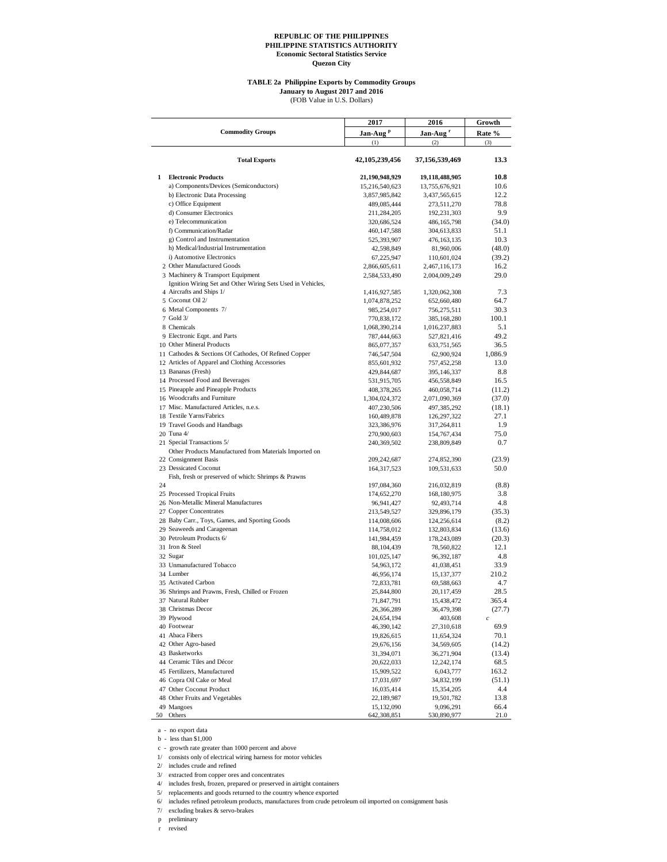#### **TABLE 2a Philippine Exports by Commodity Groups**

(FOB Value in U.S. Dollars) **January to August 2017 and 2016**

**2017 2016 Growth Jan-Aug <sup>p</sup> Jan-Aug <sup>r</sup> Rate %** (1)  $(2)$   $(3)$ **Total Exports 42,105,239,456 37,156,539,469 13.3 1 Electronic Products** 21,190,948,929 19,118,488,905 10.8<br>
a) Components/Devices (Semiconductors) 15,216,540,623 13,755,676,921 10.6 a) Components/Devices (Semiconductors) b) Electronic Data Processing 3,857,985,842 3,437,565,615 12.2 c) Office Equipment 489,085,444 273,511,270 78.8 d) Consumer Electronics (211,284,205 192,231,303 9.9<br>
e) Telecommunication (320,686,524 486,165,798 (34.0) e) Telecommunication f) Communication/Radar 460,147,588 304,613,833 51.1 g) Control and Instrumentation 525,393,907 476,163,135 10.3 h) Medical/Industrial Instrumentation  $42,598,849$   $81,960,006$   $(48.0)$ <br>
i) Automotive Electronics (39.2) i) Automotive Electronics 2 Other Manufactured Goods 2,866,605,611 2,467,116,173 16.2 3 Machinery & Transport Equipment 2,584,533,490 2,004,009,249 29.0 4 Aircrafts and Ships 1/ 1,416,927,585 1,320,062,308 7.3 Ignition Wiring Set and Other Wiring Sets Used in Vehicles, 5 Coconut Oil 2/ 1,074,878,252 652,660,480 64.7<br>6 Metal Components 7/ 985.254.017 756.275.511 30.3 6 Metal Components 7/ 985,254,017 756,275,511 30.3<br>7 Gold 3/ 7 Gold 3/ 770,838,172 385,168,280 100.1 770,838,172 8 Chemicals 1,068,390,214 1,016,237,883 5.1<br>9 Electronic Eqpt. and Parts 9 27,821,416 49.2 9 Electronic Eqpt. and Parts 787,444,663 527,821,416 10 Other Mineral Products<br>
11 Cathodes & Sections Of Cathodes, Of Refined Copper<br>
21 Octabre 365,077,357 633,751,565 36.5<br>
36.5 62,900,924 1,086.9 11 Cathodes & Sections Of Cathodes, Of Refined Copper 746,547,504 62,900,924 1,086.9 12 Articles of Apparel and Clothing Accessories 855,601,932 757,452,258 13.0<br>
13 Bananas (Fresh) 8 8 13 Bananas (Fresh) 6.88 (Fresh) 6.88 (Fresh) 429,844,687 395,146,337 8.8<br>14 Processed Food and Beverages 6.657 (Fresh) 531,915,705 456,558,849 16.5 14 Processed Food and Beverages 531,915,705 456,558,849<br>15 Pineapple and Pineapple Products 408 378 265 460.058.714 15 Pineapple and Pineapple Products 408,378,265 460,058,714 (11.2) 16 Woodcrafts and Furniture 1,304,024,372 2,071,090,369 (37.0) 17 Misc. Manufactured Articles, n.e.s. 407,230,506 497,385,292 (18.1) 18 Textile Yarns/Fabrics 160,489,878 126,297,322 27.1<br>19 Travel Goods and Handbags 160,489,876 317,264,811 1.9 19 Travel Goods and Handbags 1323,386,976 317,264,811 1.9<br>
20 Tuna 4/ 270,900,603 154,767,434 75.0  $\begin{array}{cccc} 270,900,603 & 154,767,434 & 75.0 \\ 240,369,502 & 238,809,849 & 0.7 \end{array}$ 21 Special Transactions 5/ 240,369,502 238,809,849 0.7 22 Consignment Basis 209,242,687 274,852,390 (23.9) Other Products Manufactured from Materials Imported on 23 Dessicated Coconut 164,317,523 109,531,633 50.0  $24$ Fish, fresh or preserved of which: Shrimps & Prawns 197,084,360 216,032,819 (8.8)<br>174,652,270 168,180,975 3.8 25 Processed Tropical Fruits 174,652,270 168,180,975<br>26 Non-Metallic Mineral Manufactures 96,941,427 92,493,714 26 Non-Metallic Mineral Manufactures 96,941,427 92,493,714 4.8 27 Copper Concentrates 213,549,527 329,896,179 (35.3)<br>28 Baby Carr., Toys, Games, and Sporting Goods 114,008,606 124,256,614 (8.2) 28 Baby Carr., Toys, Games, and Sporting Goods 114,008,606 124,256,614 (8.2) 29 Seaweeds and Carageenan 114,758,012 132,803,834 (13.6) 30 Petroleum Products 6/ 141,984,459 178,243,089 (20.3) 31 Iron & Steel 88,104,439 78,560,822 12.1 32 Sugar 101,025,147 96,392,187 4.8 33 Unmanufactured Tobacco 64,963,172 41,038,451 33.9<br>34 Lumber 46,956,174 15,137,377 210.2 34 Lumber 46,956,174 15,137,377 210.2 35 Activated Carbon 12,833,781 69,588,663 4.7<br>36 Shrimps and Prawns, Fresh, Chilled or Frozen 25,844,800 20,117,459 28.5 36 Shrimps and Prawns, Fresh, Chilled or Frozen 37 Natural Rubber 11,847,791 15,438,472 365.4<br>38 Christmas Decor 26,366,289 36,479,398 27.7) 38 Christmas Decor 26,366,289 36,479,398 39 Plywood 39 Plywood 36,479,398 36,479,398 36,479,398 36,479,398 36,479,398 36,479,398 36,479,398 36,479,398 36,479,398 36,479,398 36,479,398 36,479,398 36,479,398 36,479,398 36,47 39 Plywood 24,654,194 403,608 *c* 40 Footwear 46,390,142 27,310,618 69.9 41 Abaca Fibers 19,826,615 11,654,324 70.1 42 Other Agro-based 29,676,156 34,569,605 (14.2)<br>43 Basketworks 31,394,071 36,271,904 (13.4) 43 Basketworks 31,394,071 36,271,904 (13.4) 44 Ceramic Tiles and Décor 20,622,033 12,242,174 68.5 45 Fertilizers, Manufactured 15,909,522 6,043,777 163.2 46 Copra Oil Cake or Meal 17,031,697 34,832,199 (51.1) 47 Other Coconut Product 16,035,414 15,354,205 4.4 48 Other Fruits and Vegetables 22,189,987 19,501,782 13.8 49 Mangoes 15,132,090 9,096,291 66.4 50 Others 642,308,851 530,890,977 21.0 **Commodity Groups**

 a - no export data b - less than \$1,000

c - growth rate greater than 1000 percent and above

1/ consists only of electrical wiring harness for motor vehicles

2/ includes crude and refined

3/ extracted from copper ores and concentrates

4/ includes fresh, frozen, prepared or preserved in airtight containers

5/ replacements and goods returned to the country whence exported

6/ includes refined petroleum products, manufactures from crude petroleum oil imported on consignment basis

7/ excluding brakes & servo-brakes

p preliminary

revised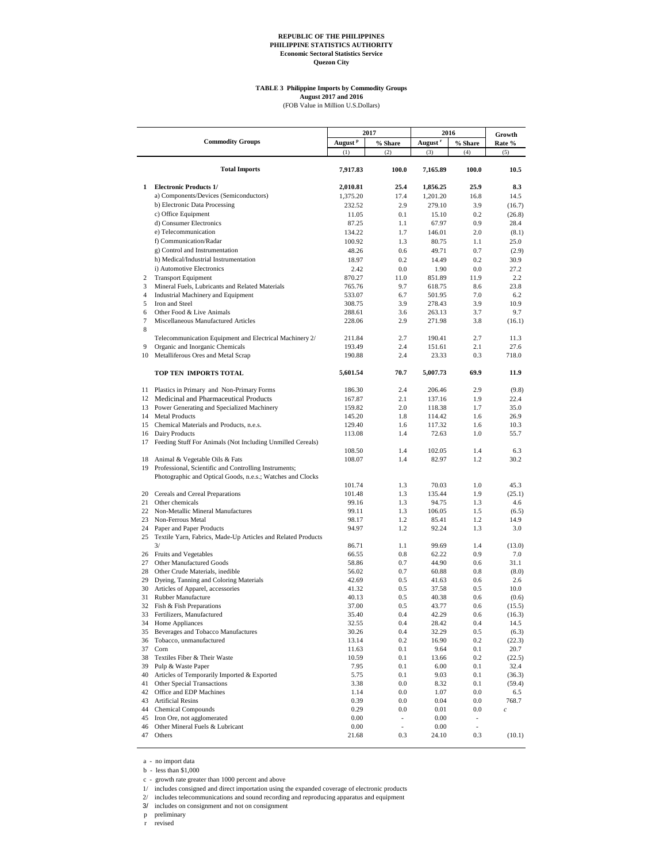# **TABLE 3 Philippine Imports by Commodity Groups<br>
<b>August 2017 and 2016**<br>
(FOB Value in Million U.S.Dollars)

|              | <b>Commodity Groups</b>                                               | August <sup>p</sup> | 2017                        | 2016<br>August <sup>r</sup> |                          | Growth           |
|--------------|-----------------------------------------------------------------------|---------------------|-----------------------------|-----------------------------|--------------------------|------------------|
|              |                                                                       | (1)                 | % Share<br>(2)              | (3)                         | % Share<br>(4)           | Rate %<br>(5)    |
|              |                                                                       |                     |                             |                             |                          |                  |
|              | <b>Total Imports</b>                                                  | 7,917.83            | 100.0                       | 7,165.89                    | 100.0                    | 10.5             |
| $\mathbf{1}$ | <b>Electronic Products 1/</b>                                         | 2,010.81            | 25.4                        | 1,856.25                    | 25.9                     | 8.3              |
|              | a) Components/Devices (Semiconductors)                                | 1,375.20            | 17.4                        | 1,201.20                    | 16.8                     | 14.5             |
|              | b) Electronic Data Processing                                         | 232.52              | 2.9                         | 279.10                      | 3.9                      | (16.7)           |
|              | c) Office Equipment                                                   | 11.05               | 0.1                         | 15.10                       | 0.2                      | (26.8)           |
|              | d) Consumer Electronics                                               | 87.25               | 1.1                         | 67.97                       | 0.9                      | 28.4             |
|              | e) Telecommunication                                                  | 134.22              | 1.7                         | 146.01                      | 2.0                      | (8.1)            |
|              | f) Communication/Radar                                                | 100.92              | 1.3                         | 80.75                       | 1.1                      | 25.0             |
|              | g) Control and Instrumentation                                        | 48.26               | 0.6                         | 49.71                       | 0.7                      | (2.9)            |
|              | h) Medical/Industrial Instrumentation                                 | 18.97               | 0.2                         | 14.49                       | 0.2                      | 30.9             |
|              | i) Automotive Electronics                                             | 2.42                | 0.0                         | 1.90                        | 0.0                      | 27.2             |
| 2            | <b>Transport Equipment</b>                                            | 870.27              | 11.0                        | 851.89                      | 11.9                     | 2.2              |
| 3            | Mineral Fuels, Lubricants and Related Materials                       | 765.76              | 9.7                         | 618.75                      | 8.6                      | 23.8             |
| 4            | Industrial Machinery and Equipment                                    | 533.07              | 6.7                         | 501.95                      | 7.0                      | 6.2              |
| 5            | Iron and Steel                                                        | 308.75              | 3.9                         | 278.43                      | 3.9                      | 10.9             |
| 6            | Other Food & Live Animals                                             | 288.61              | 3.6                         | 263.13                      | 3.7                      | 9.7              |
| 7<br>8       | Miscellaneous Manufactured Articles                                   | 228.06              | 2.9                         | 271.98                      | 3.8                      | (16.1)           |
|              | Telecommunication Equipment and Electrical Machinery 2/               | 211.84              | 2.7                         | 190.41                      | 2.7                      | 11.3             |
| 9            | Organic and Inorganic Chemicals                                       | 193.49              | 2.4                         | 151.61                      | 2.1                      | 27.6             |
| 10           | Metalliferous Ores and Metal Scrap                                    | 190.88              | 2.4                         | 23.33                       | 0.3                      | 718.0            |
|              | TOP TEN IMPORTS TOTAL                                                 | 5,601.54            | 70.7                        | 5,007.73                    | 69.9                     | 11.9             |
| 11           | Plastics in Primary and Non-Primary Forms                             | 186.30              | 2.4                         | 206.46                      | 2.9                      | (9.8)            |
| 12           | Medicinal and Pharmaceutical Products                                 | 167.87              | 2.1                         | 137.16                      | 1.9                      | 22.4             |
| 13           | Power Generating and Specialized Machinery                            | 159.82              | 2.0                         | 118.38                      | 1.7                      | 35.0             |
| 14           | <b>Metal Products</b>                                                 | 145.20              | 1.8                         | 114.42                      | 1.6                      | 26.9             |
| 15           | Chemical Materials and Products, n.e.s.                               | 129.40              | 1.6                         | 117.32                      | 1.6                      | 10.3             |
|              | 16 Dairy Products                                                     | 113.08              | 1.4                         | 72.63                       | 1.0                      | 55.7             |
| 17           | Feeding Stuff For Animals (Not Including Unmilled Cereals)            |                     |                             |                             |                          |                  |
|              |                                                                       | 108.50              | 1.4                         | 102.05                      | 1.4                      | 6.3              |
|              | 18 Animal & Vegetable Oils & Fats                                     | 108.07              | 1.4                         | 82.97                       | 1.2                      | 30.2             |
|              | 19 Professional, Scientific and Controlling Instruments;              |                     |                             |                             |                          |                  |
|              | Photographic and Optical Goods, n.e.s.; Watches and Clocks            |                     |                             |                             |                          |                  |
|              |                                                                       | 101.74              | 1.3                         | 70.03                       | 1.0                      | 45.3             |
| 20           | Cereals and Cereal Preparations                                       | 101.48              | 1.3                         | 135.44                      | 1.9                      | (25.1)           |
| 21           | Other chemicals                                                       | 99.16               | 1.3                         | 94.75                       | 1.3                      | 4.6              |
|              | 22 Non-Metallic Mineral Manufactures                                  | 99.11               | 1.3                         | 106.05                      | 1.5                      | (6.5)            |
| 23           | Non-Ferrous Metal                                                     | 98.17               | 1.2                         | 85.41                       | 1.2                      | 14.9             |
| 24           | Paper and Paper Products                                              | 94.97               | 1.2                         | 92.24                       | 1.3                      | 3.0              |
|              | 25 Textile Yarn, Fabrics, Made-Up Articles and Related Products<br>3/ | 86.71               | 1.1                         | 99.69                       | 1.4                      |                  |
|              | 26 Fruits and Vegetables                                              | 66.55               | 0.8                         | 62.22                       | 0.9                      | (13.0)<br>7.0    |
| 27           | Other Manufactured Goods                                              | 58.86               | 0.7                         | 44.90                       | 0.6                      | 31.1             |
| 28           | Other Crude Materials, inedible                                       | 56.02               | 0.7                         | 60.88                       | 0.8                      | (8.0)            |
| 29           | Dyeing, Tanning and Coloring Materials                                | 42.69               | 0.5                         | 41.63                       | 0.6                      | 2.6              |
| 30           | Articles of Apparel, accessories                                      | 41.32               | 0.5                         | 37.58                       | 0.5                      | 10.0             |
| 31           | Rubber Manufacture                                                    | 40.13               | 0.5                         | 40.38                       | 0.6                      | (0.6)            |
|              | 32 Fish & Fish Preparations                                           | 37.00               | 0.5                         | 43.77                       | 0.6                      | (15.5)           |
| 33           | Fertilizers, Manufactured                                             | 35.40               | 0.4                         | 42.29                       | 0.6                      | (16.3)           |
| 34           | Home Appliances                                                       | 32.55               | 0.4                         | 28.42                       | 0.4                      | 14.5             |
| 35           | Beverages and Tobacco Manufactures                                    | 30.26               | 0.4                         | 32.29                       | 0.5                      | (6.3)            |
| 36           | Tobacco, unmanufactured                                               | 13.14               | 0.2                         | 16.90                       | 0.2                      | (22.3)           |
| 37           | Corn                                                                  | 11.63               | $0.1\,$                     | 9.64                        | 0.1                      | 20.7             |
| 38           | Textiles Fiber & Their Waste                                          | 10.59               | 0.1                         | 13.66                       | 0.2                      | (22.5)           |
| 39           | Pulp & Waste Paper                                                    | 7.95                | 0.1                         | 6.00                        | 0.1                      | 32.4             |
| 40           | Articles of Temporarily Imported & Exported                           | 5.75                | 0.1                         | 9.03                        | 0.1                      | (36.3)           |
| 41           | Other Special Transactions                                            | 3.38                | $0.0\,$                     | 8.32                        | 0.1                      | (59.4)           |
| 42           | Office and EDP Machines                                               | 1.14                | $0.0\,$                     | 1.07                        | $0.0\,$                  | 6.5              |
| 43           | <b>Artificial Resins</b>                                              | 0.39                | $0.0\,$                     | 0.04                        | 0.0                      | 768.7            |
| 44           | <b>Chemical Compounds</b>                                             | 0.29                | $0.0\,$                     | 0.01                        | 0.0                      | $\boldsymbol{c}$ |
| 45           | Iron Ore, not agglomerated                                            | 0.00                | $\mathcal{L}_{\mathcal{A}}$ | 0.00                        | $\overline{\phantom{a}}$ |                  |
| 46           | Other Mineral Fuels & Lubricant                                       | 0.00                | $\overline{\phantom{a}}$    | 0.00                        | $\sim$                   |                  |
| 47           | Others                                                                | 21.68               | 0.3                         | 24.10                       | 0.3                      | (10.1)           |

a - no import data

b - less than \$1,000

c - growth rate greater than 1000 percent and above

1/ includes consigned and direct importation using the expanded coverage of electronic products 2/ includes telecommunications and sound recording and reproducing apparatus and equipment

3/ includes on consignment and not on consignment

p preliminary r revised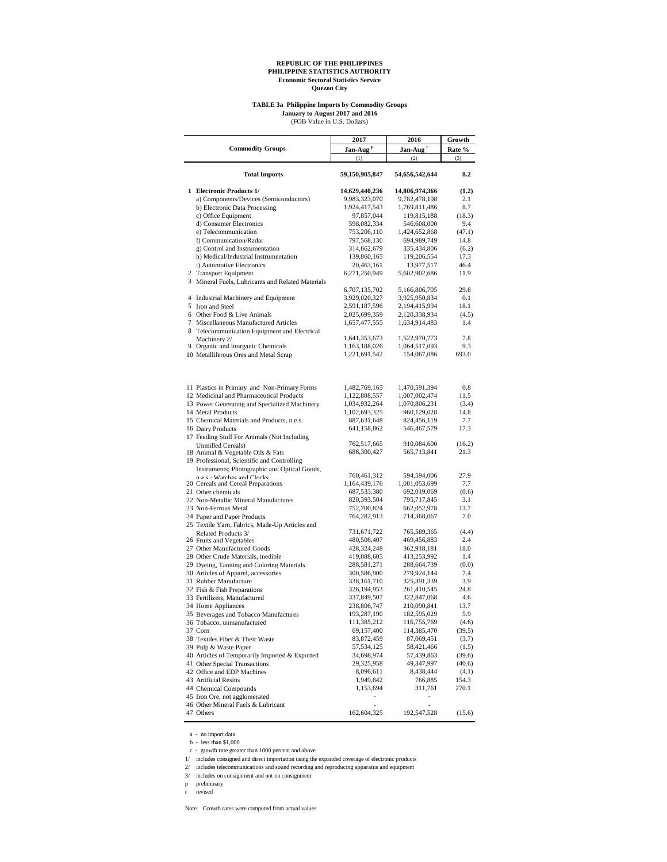# **TABLE 3a Philippine Imports by Commodity Groups January to August 2017 and 2016** (FOB Value in U.S. Dollars)

| OB Value in U.S. Dollars) |  |  |
|---------------------------|--|--|
|---------------------------|--|--|

|   |                                                                                     | 2017                 | 2016                       | Growth        |
|---|-------------------------------------------------------------------------------------|----------------------|----------------------------|---------------|
|   | <b>Commodity Groups</b>                                                             | Jan-Aug <sup>P</sup> | Jan-Aug <sup>r</sup>       | Rate %        |
|   |                                                                                     | (1)                  | (2)                        | (3)           |
|   | <b>Total Imports</b>                                                                | 59,150,905,847       | 54,656,542,644             | 8.2           |
|   | 1 Electronic Products 1/                                                            | 14,629,440,236       | 14,806,974,366             | (1.2)         |
|   | a) Components/Devices (Semiconductors)                                              | 9,983,323,070        | 9,782,478,198              | 2.1           |
|   | b) Electronic Data Processing                                                       | 1,924,417,543        | 1,769,811,486              | 8.7           |
|   | c) Office Equipment                                                                 | 97,857,044           | 119,815,188                | (18.3)        |
|   | d) Consumer Electronics                                                             | 598,082,334          | 546,608,000                | 9.4           |
|   | e) Telecommunication                                                                | 753,206,110          | 1,424,652,868              | (47.1)        |
|   | f) Communication/Radar                                                              | 797,568,130          | 694,989,749                | 14.8          |
|   | g) Control and Instrumentation                                                      | 314,662,679          | 335,434,806                | (6.2)         |
|   | h) Medical/Industrial Instrumentation                                               | 139,860,165          | 119,206,554                | 17.3          |
|   | i) Automotive Electronics                                                           | 20,463,161           | 13,977,517                 | 46.4          |
|   | 2 Transport Equipment                                                               | 6,271,250,949        | 5,602,902,686              | 11.9          |
|   | 3 Mineral Fuels, Lubricants and Related Materials                                   |                      |                            |               |
|   |                                                                                     | 6,707,135,702        | 5,166,806,705              | 29.8          |
|   | 4 Industrial Machinery and Equipment                                                | 3,929,020,327        | 3,925,950,834              | 0.1           |
|   | 5 Iron and Steel                                                                    | 2,591,187,596        | 2,194,415,994              | 18.1          |
|   | 6 Other Food & Live Animals                                                         | 2,025,699,359        | 2,120,338,934              | (4.5)         |
| 7 | Miscellaneous Manufactured Articles<br>8 Telecommunication Equipment and Electrical | 1,657,477,555        | 1,634,914,483              | 1.4           |
|   | Machinery 2/                                                                        | 1,641,353,673        | 1,522,970,773              | 7.8           |
|   | 9 Organic and Inorganic Chemicals                                                   | 1,163,188,026        | 1,064,517,093              | 9.3           |
|   | 10 Metalliferous Ores and Metal Scrap                                               | 1,221,691,542        | 154,067,086                | 693.0         |
|   |                                                                                     |                      |                            | 0.8           |
|   | 11 Plastics in Primary and Non-Primary Forms                                        | 1,482,769,165        | 1,470,591,394              |               |
|   | 12 Medicinal and Pharmaceutical Products                                            | 1,122,808,557        | 1,007,002,474              | 11.5          |
|   | 13 Power Generating and Specialized Machinery                                       | 1,034,932,264        | 1,070,806,231              | (3.4)<br>14.8 |
|   | 14 Metal Products                                                                   | 1,102,693,325        | 960,129,028<br>824,456,119 | 7.7           |
|   | 15 Chemical Materials and Products, n.e.s.                                          | 887,631,648          |                            | 17.3          |
|   | 16 Dairy Products<br>17 Feeding Stuff For Animals (Not Including                    | 641,158,862          | 546,467,579                |               |
|   | <b>Unmilled Cereals)</b>                                                            | 762,517,665          | 910,084,600                | (16.2)        |
|   | 18 Animal & Vegetable Oils & Fats                                                   | 686,300,427          | 565,713,841                | 21.3          |
|   | 19 Professional, Scientific and Controlling                                         |                      |                            |               |
|   | Instruments; Photographic and Optical Goods,                                        |                      |                            |               |
|   | n e e · Watches and Clocks                                                          | 760,461,312          | 594,594,006                | 27.9          |
|   | 20 Cereals and Cereal Preparations                                                  | 1,164,439,176        | 1,081,053,699              | 7.7           |
|   | 21 Other chemicals                                                                  | 687,533,380          | 692,019,069                | (0.6)         |
|   | 22 Non-Metallic Mineral Manufactures                                                | 820,393,504          | 795,717,845                | 3.1           |
|   | 23 Non-Ferrous Metal                                                                | 752,700,824          | 662,052,978                | 13.7          |
|   | 24 Paper and Paper Products<br>25 Textile Yarn, Fabrics, Made-Up Articles and       | 764,282,913          | 714,368,067                | 7.0           |
|   | Related Products 3/                                                                 | 731,671,722          | 765,589,365                | (4.4)         |
|   | 26 Fruits and Vegetables                                                            | 480,506,407          | 469,456,883                | 2.4           |
|   | 27 Other Manufactured Goods                                                         | 428,324,248          | 362,918,181                | 18.0          |
|   | 28 Other Crude Materials, inedible                                                  | 419,088,605          | 413,253,992                | 1.4           |
|   | 29 Dyeing, Tanning and Coloring Materials                                           | 288,581,271          | 288,664,739                | (0.0)         |
|   | 30 Articles of Apparel, accessories                                                 | 300,586,900          | 279,924,144                | 7.4           |
|   | 31 Rubber Manufacture                                                               | 338, 161, 710        | 325,391,339                | 3.9           |
|   | 32 Fish & Fish Preparations                                                         | 326,194,953          | 261,410,545                | 24.8          |
|   | 33 Fertilizers, Manufactured                                                        | 337,849,507          | 322,847,068                | 4.6           |
|   | 34 Home Appliances                                                                  | 238,806,747          | 210,090,841                | 13.7          |
|   | 35 Beverages and Tobacco Manufactures                                               | 193,287,190          | 182,595,029                | 5.9           |
|   | 36 Tobacco, unmanufactured                                                          | 111,385,212          | 116,755,769                | (4.6)         |
|   | 37 Corn                                                                             | 69,157,400           | 114,385,470                | (39.5)        |
|   | 38 Textiles Fiber & Their Waste                                                     | 83, 872, 459         | 87,069,451                 | (3.7)         |
|   | 39 Pulp & Waste Paper                                                               | 57, 534, 125         | 58,421,466                 | (1.5)         |
|   | 40 Articles of Temporarily Imported & Exported                                      | 34,698,974           | 57,439,863                 | (39.6)        |
|   | 41 Other Special Transactions                                                       | 29,325,958           | 49,347,997                 | (40.6)        |
|   | 42 Office and EDP Machines                                                          | 8,096,611            | 8,438,444                  | (4.1)         |
|   | 43 Artificial Resins                                                                | 1,949,842            | 766,885                    | 154.3         |
|   | 44 Chemical Compounds                                                               | 1,153,694            | 311,761                    | 270.1         |
|   | 45 Iron Ore, not agglomerated                                                       |                      |                            |               |
|   | 46 Other Mineral Fuels & Lubricant                                                  |                      |                            |               |
|   | 47 Others                                                                           | 162,604,325          | 192,547,528                | (15.6)        |
|   |                                                                                     |                      |                            |               |

a - no import data b - less than \$1,000

c - growth rate greater than 1000 percent and above

1/ includes consigned and direct importation using the expanded coverage of electronic products

2/ includes telecommunications and sound recording and reproducing apparatus and equipment

3/ includes on consignment and not on consignment

 $\,$  preliminary

 $\,$  revised  $\,$ 

Note: Growth rates were computed from actual values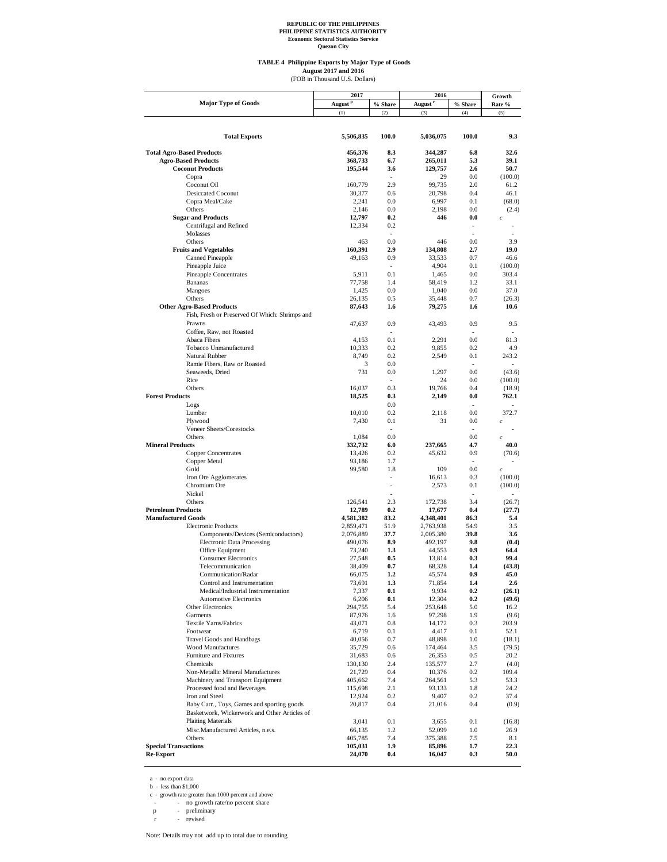**Quezon City**

## **TABLE 4 Philippine Exports by Major Type of Goods**

August 2017 and 2016<br>(FOB in Thousand U.S. Dollars)

|                                                | 2017                |                | 2016                | Growth         |                  |
|------------------------------------------------|---------------------|----------------|---------------------|----------------|------------------|
| <b>Major Type of Goods</b>                     | August <sup>p</sup> | % Share        | August <sup>r</sup> | % Share        | Rate %           |
|                                                | (1)                 | (2)            | (3)                 | (4)            | (5)              |
|                                                |                     |                |                     |                |                  |
|                                                |                     |                |                     |                |                  |
| <b>Total Exports</b>                           | 5,506,835           | 100.0          | 5,036,075           | 100.0          | 9.3              |
|                                                |                     |                |                     |                |                  |
| <b>Total Agro-Based Products</b>               | 456,376             | 8.3            | 344.287             | 6.8            | 32.6             |
| <b>Agro-Based Products</b>                     | 368,733             | 6.7            | 265,011             | 5.3            | 39.1             |
| <b>Coconut Products</b>                        | 195,544             | 3.6            | 129,757             | 2.6            | 50.7             |
| Copra                                          |                     |                | 29                  | 0.0            | (100.0)          |
| Coconut Oil                                    | 160,779             | 2.9            | 99,735              | 2.0            | 61.2             |
| <b>Desiccated Coconut</b>                      | 30,377              | 0.6            | 20,798              | 0.4            | 46.1             |
| Copra Meal/Cake                                | 2.241               | 0.0            | 6,997               | 0.1            | (68.0)           |
| Others                                         | 2,146               | 0.0            | 2,198               | 0.0            | (2.4)            |
| <b>Sugar and Products</b>                      | 12,797              | 0.2            | 446                 | 0.0            | $\boldsymbol{c}$ |
| Centrifugal and Refined                        | 12,334              | 0.2            |                     |                |                  |
| Molasses                                       |                     | ÷              |                     | $\overline{a}$ |                  |
| Others                                         | 463                 | 0.0            | 446                 | 0.0            | 3.9              |
| <b>Fruits and Vegetables</b>                   | 160,391             | 2.9            | 134,808             | 2.7            | 19.0             |
| <b>Canned Pineapple</b>                        | 49,163              | 0.9            | 33,533              | 0.7            | 46.6             |
| Pineapple Juice                                |                     | ÷.             | 4,904               | 0.1            | (100.0)          |
| Pineapple Concentrates                         | 5,911               | 0.1            | 1,465               | 0.0            | 303.4            |
| Bananas                                        | 77,758              | 1.4            | 58,419              | 1.2            | 33.1             |
| Mangoes                                        | 1,425               | 0.0            | 1,040               | 0.0            | 37.0             |
| Others                                         | 26,135              | 0.5            | 35,448              | 0.7            | (26.3)           |
| <b>Other Agro-Based Products</b>               | 87,643              | 1.6            | 79,275              | 1.6            | 10.6             |
| Fish, Fresh or Preserved Of Which: Shrimps and |                     |                |                     |                |                  |
| Prawns                                         | 47.637              | 0.9            | 43,493              | 0.9            | 9.5              |
| Coffee, Raw, not Roasted                       |                     | $\overline{a}$ |                     | ٠              |                  |
| Abaca Fibers                                   | 4,153               | 0.1            | 2,291               | 0.0            | 81.3             |
| Tobacco Unmanufactured                         | 10.333              | 0.2            | 9.855               | 0.2            | 4.9              |
| Natural Rubber                                 | 8,749               | 0.2            | 2,549               | 0.1            | 243.2            |
| Ramie Fibers, Raw or Roasted                   | 3                   | 0.0            |                     | $\overline{a}$ | ÷                |
| Seaweeds, Dried                                | 731                 | 0.0            | 1,297               | 0.0            | (43.6)           |
| Rice                                           |                     | ÷              | 24                  | 0.0            | (100.0)          |
| Others                                         | 16,037              | 0.3            | 19,766              | 0.4            | (18.9)           |
| <b>Forest Products</b>                         | 18,525              | 0.3            | 2,149               | 0.0            | 762.1            |
| Logs                                           |                     | 0.0            |                     | ÷              |                  |
| Lumber                                         | 10,010              | 0.2            | 2,118               | 0.0            | 372.7            |
| Plywood                                        | 7,430               | 0.1            | 31                  | 0.0            | $\boldsymbol{c}$ |
| Veneer Sheets/Corestocks                       |                     |                |                     | ۰              |                  |
| Others                                         | 1,084               | 0.0            |                     | 0.0            | $\boldsymbol{c}$ |
| <b>Mineral Products</b>                        | 332,732             | 6.0            | 237,665             | 4.7            | 40.0             |
| <b>Copper Concentrates</b>                     | 13,426              | 0.2            | 45,632              | 0.9            | (70.6)           |
| Copper Metal                                   | 93,186              | 1.7            |                     | ÷              |                  |
| Gold                                           | 99,580              | 1.8            | 109                 | 0.0            | $\boldsymbol{c}$ |
| Iron Ore Agglomerates                          |                     | $\overline{a}$ | 16,613              | 0.3            | (100.0)          |
| Chromium Ore                                   |                     | $\overline{a}$ | 2,573               | 0.1            | (100.0)          |
| Nickel                                         |                     |                |                     |                |                  |
| Others                                         | 126,541             | 2.3            | 172,738             | 3.4            | (26.7)           |
| <b>Petroleum Products</b>                      | 12,789              | 0.2            | 17,677              | 0.4            | (27.7)           |
| <b>Manufactured Goods</b>                      | 4,581,382           | 83.2           | 4,348,401           | 86.3           | 5.4              |
| <b>Electronic Products</b>                     | 2.859.471           | 51.9           | 2,763,938           | 54.9           | 3.5              |
| Components/Devices (Semiconductors)            | 2,076,889           | 37.7           | 2,005,380           | 39.8           | 3.6              |
| <b>Electronic Data Processing</b>              | 490,076             | 8.9            | 492,197             | 9.8            | (0.4)            |
| Office Equipment                               | 73,240              | 1.3            | 44,553              | 0.9            | 64.4             |
| <b>Consumer Electronics</b>                    | 27,548              | 0.5            | 13,814              | 0.3            | 99.4             |
| Telecommunication                              | 38,409              | 0.7            | 68,328              | 1.4            | (43.8)           |
| Communication/Radar                            | 66,075              | 1.2            | 45,574              | 0.9            | 45.0             |
| Control and Instrumentation                    | 73,691              | 1.3            | 71,854              | 1.4            | $2.6\,$          |
| Medical/Industrial Instrumentation             | 7,337               | 0.1            | 9,934               | 0.2            | (26.1)           |
| <b>Automotive Electronics</b>                  | 6,206               | 0.1            | 12,304              | 0.2            | (49.6)           |
| Other Electronics                              | 294,755             | 5.4            | 253,648             | 5.0            | 16.2             |
| Garments                                       | 87,976              | 1.6            | 97,298              | 1.9            | (9.6)            |
| <b>Textile Yarns/Fabrics</b>                   | 43,071              | 0.8            | 14,172              | 0.3            | 203.9            |
| Footwear                                       | 6,719               | 0.1            | 4,417               | 0.1            | 52.1             |
| <b>Travel Goods and Handbags</b>               | 40,056              | $0.7\,$        | 48,898              | 1.0            | (18.1)           |
| <b>Wood Manufactures</b>                       | 35,729              | 0.6            | 174,464             | 3.5            | (79.5)           |
| Furniture and Fixtures                         | 31,683              | 0.6            | 26,353              | 0.5            | 20.2             |
| Chemicals                                      | 130,130             | 2.4            | 135,577             | 2.7            | (4.0)            |
| Non-Metallic Mineral Manufactures              | 21,729              | 0.4            | 10,376              | 0.2            | 109.4            |
| Machinery and Transport Equipment              | 405,662             | 7.4            | 264,561             | 5.3            | 53.3             |
| Processed food and Beverages                   | 115,698             | 2.1            | 93,133              | 1.8            | 24.2             |
| Iron and Steel                                 | 12,924              | 0.2            | 9,407               | 0.2            | 37.4             |
| Baby Carr., Toys, Games and sporting goods     | 20,817              | 0.4            | 21,016              | 0.4            | (0.9)            |
| Basketwork, Wickerwork and Other Articles of   |                     |                |                     |                |                  |
| <b>Plaiting Materials</b>                      | 3,041               | 0.1            | 3,655               | 0.1            | (16.8)           |
| Misc.Manufactured Articles, n.e.s.             | 66,135              | 1.2            | 52,099              | 1.0            | 26.9             |
| Others                                         | 405,785             | 7.4            | 375,388             | 7.5            | 8.1              |
| <b>Special Transactions</b>                    | 105,031             | 1.9            | 85,896              | 1.7            | 22.3             |
| <b>Re-Export</b>                               | 24,070              | $0.4\,$        | 16,047              | 0.3            | 50.0             |

a - no export data b - less than \$1,000

c - growth rate greater than 1000 percent and above<br>- no growth rate/no percent share<br>p - preliminary<br>r - revised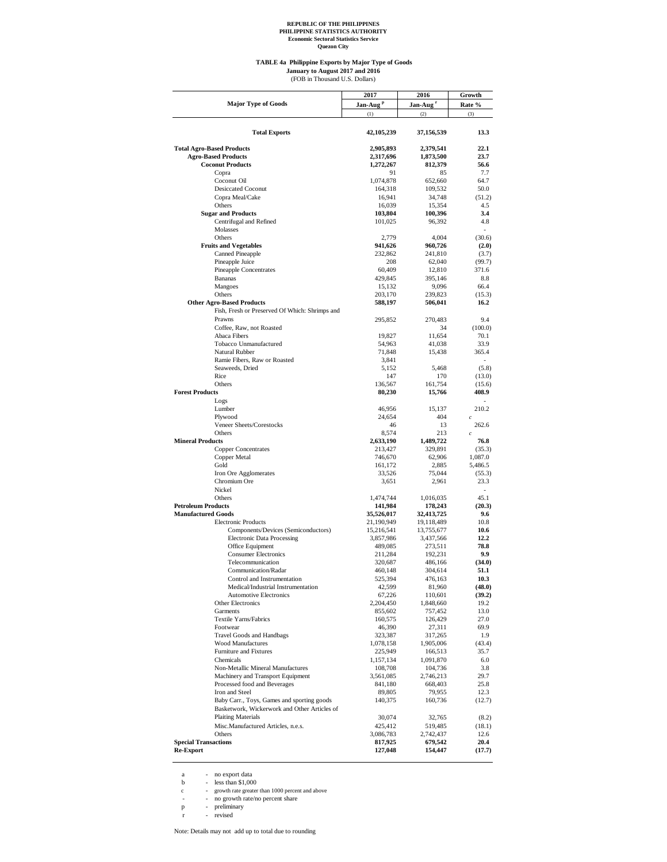**Quezon City**

#### **TABLE 4a Philippine Exports by Major Type of Goods** (FOB in Thousand U.S. Dollars) **January to August 2017 and 2016**

|                                                | 2017                 | 2016                 | Growth         |  |
|------------------------------------------------|----------------------|----------------------|----------------|--|
| <b>Major Type of Goods</b>                     | Jan-Aug <sup>p</sup> | Jan-Aug <sup>r</sup> | Rate %         |  |
|                                                | (1)                  | (2)                  | (3)            |  |
|                                                |                      |                      |                |  |
|                                                |                      |                      |                |  |
| <b>Total Exports</b>                           | 42,105,239           | 37,156,539           | 13.3           |  |
|                                                |                      |                      |                |  |
| <b>Total Agro-Based Products</b>               | 2,905,893            | 2,379,541            | 22.1           |  |
| <b>Agro-Based Products</b>                     | 2,317,696            | 1,873,500            | 23.7           |  |
| <b>Coconut Products</b>                        | 1,272,267            | 812,379              | 56.6           |  |
| Copra                                          | 91                   | 85                   | 7.7            |  |
| Coconut Oil                                    | 1,074,878            | 652,660              | 64.7           |  |
| <b>Desiccated Coconut</b>                      | 164,318              | 109,532              | 50.0           |  |
| Copra Meal/Cake                                | 16,941               | 34,748               | (51.2)         |  |
| Others                                         | 16,039               | 15,354               | 4.5            |  |
| <b>Sugar and Products</b>                      | 103,804              | 100,396              | 3.4            |  |
| Centrifugal and Refined                        | 101,025              | 96,392               | 4.8            |  |
| Molasses                                       |                      |                      | $\overline{a}$ |  |
| Others                                         | 2,779                | 4,004                | (30.6)         |  |
| <b>Fruits and Vegetables</b>                   | 941,626              | 960,726              | (2.0)          |  |
| <b>Canned Pineapple</b>                        | 232,862              | 241,810              |                |  |
|                                                |                      |                      | (3.7)          |  |
| Pineapple Juice                                | 208                  | 62,040               | (99.7)         |  |
| Pineapple Concentrates                         | 60,409               | 12,810               | 371.6          |  |
| <b>Bananas</b>                                 | 429,845              | 395,146              | 8.8            |  |
| Mangoes                                        | 15,132               | 9,096                | 66.4           |  |
| Others                                         | 203,170              | 239,823              | (15.3)         |  |
| <b>Other Agro-Based Products</b>               | 588,197              | 506,041              | 16.2           |  |
| Fish, Fresh or Preserved Of Which: Shrimps and |                      |                      |                |  |
| Prawns                                         | 295,852              | 270,483              | 9.4            |  |
| Coffee, Raw, not Roasted                       |                      | 34                   | (100.0)        |  |
| Abaca Fibers                                   | 19,827               | 11,654               | 70.1           |  |
| Tobacco Unmanufactured                         | 54,963               | 41,038               | 33.9           |  |
| Natural Rubber                                 | 71,848               | 15,438               | 365.4          |  |
| Ramie Fibers, Raw or Roasted                   | 3,841                |                      | ÷              |  |
| Seaweeds, Dried                                |                      |                      |                |  |
|                                                | 5,152                | 5,468                | (5.8)          |  |
| Rice                                           | 147                  | 170                  | (13.0)         |  |
| Others                                         | 136,567              | 161,754              | (15.6)         |  |
| <b>Forest Products</b>                         | 80,230               | 15,766               | 408.9          |  |
| Logs                                           |                      |                      |                |  |
| Lumber                                         | 46,956               | 15,137               | 210.2          |  |
| Plywood                                        | 24,654               | 404                  | $\overline{c}$ |  |
| Veneer Sheets/Corestocks                       | 46                   | 13                   | 262.6          |  |
| Others                                         | 8,574                | 213                  | $\mathfrak{c}$ |  |
| <b>Mineral Products</b>                        | 2,633,190            | 1,489,722            | 76.8           |  |
| <b>Copper Concentrates</b>                     | 213,427              | 329,891              | (35.3)         |  |
| Copper Metal                                   | 746,670              | 62,906               | 1,087.0        |  |
| Gold                                           | 161,172              | 2,885                | 5,486.5        |  |
| Iron Ore Agglomerates                          | 33,526               | 75,044               | (55.3)         |  |
| Chromium Ore                                   | 3,651                | 2,961                | 23.3           |  |
| Nickel                                         |                      |                      | $\sim$         |  |
| Others                                         |                      |                      |                |  |
|                                                | 1,474,744            | 1,016,035            | 45.1           |  |
| <b>Petroleum Products</b>                      | 141,984              | 178,243              | (20.3)         |  |
| <b>Manufactured Goods</b>                      | 35,526,017           | 32,413,725           | 9.6            |  |
| <b>Electronic Products</b>                     | 21,190,949           | 19,118,489           | 10.8           |  |
| Components/Devices (Semiconductors)            | 15,216,541           | 13,755,677           | 10.6           |  |
| <b>Electronic Data Processing</b>              | 3,857,986            | 3,437,566            | 12.2           |  |
| Office Equipment                               | 489,085              | 273,511              | 78.8           |  |
| <b>Consumer Electronics</b>                    | 211,284              | 192,231              | 9.9            |  |
| Telecommunication                              | 320,687              | 486,166              | (34.0)         |  |
| Communication/Radar                            | 460,148              | 304,614              | 51.1           |  |
| Control and Instrumentation                    | 525,394              | 476,163              | 10.3           |  |
| Medical/Industrial Instrumentation             | 42,599               | 81,960               | (48.0)         |  |
| <b>Automotive Electronics</b>                  | 67,226               | 110,601              | (39.2)         |  |
| <b>Other Electronics</b>                       | 2,204,450            | 1,848,660            | 19.2           |  |
| Garments                                       |                      |                      | 13.0           |  |
| Textile Yarns/Fabrics                          | 855,602<br>160,575   | 757,452<br>126,429   | 27.0           |  |
|                                                |                      |                      |                |  |
| Footwear                                       | 46,390               | 27,311               | 69.9           |  |
| <b>Travel Goods and Handbags</b>               | 323,387              | 317,265              | 1.9            |  |
| <b>Wood Manufactures</b>                       | 1,078,158            | 1,905,006            | (43.4)         |  |
| Furniture and Fixtures                         | 225,949              | 166,513              | 35.7           |  |
| Chemicals                                      | 1,157,134            | 1,091,870            | 6.0            |  |
| Non-Metallic Mineral Manufactures              | 108,708              | 104,736              | 3.8            |  |
| Machinery and Transport Equipment              | 3,561,085            | 2,746,213            | 29.7           |  |
| Processed food and Beverages                   | 841,180              | 668,403              | 25.8           |  |
| Iron and Steel                                 | 89,805               | 79,955               | 12.3           |  |
| Baby Carr., Toys, Games and sporting goods     | 140,375              | 160,736              | (12.7)         |  |
| Basketwork, Wickerwork and Other Articles of   |                      |                      |                |  |
| <b>Plaiting Materials</b>                      | 30,074               | 32,765               | (8.2)          |  |
| Misc.Manufactured Articles, n.e.s.             | 425,412              | 519,485              | (18.1)         |  |
| Others                                         | 3,086,783            | 2,742,437            | 12.6           |  |
| <b>Special Transactions</b>                    | 817,925              | 679,542              | 20.4           |  |
| <b>Re-Export</b>                               | 127,048              | 154,447              | (17.7)         |  |
|                                                |                      |                      |                |  |

a - no export data b - less than \$1,000

c - growth rate greater than 1000 percent and above - - no growth rate/no percent share p - preliminary r - revised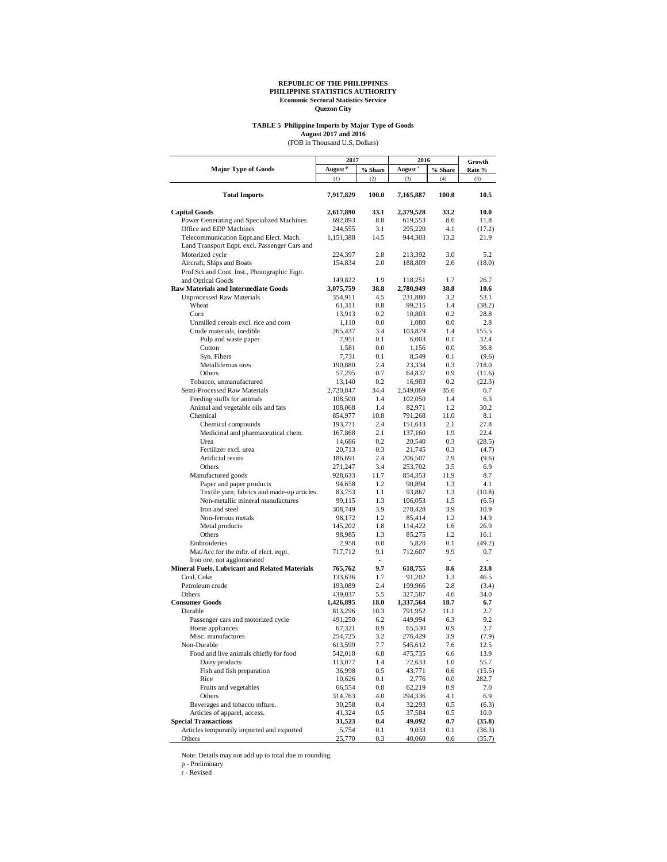# **TABLE 5 Philippine Imports by Major Type of Goods**

August 2017 and 2016<br>(FOB in Thousand U.S. Dollars)

|                                                       | 2017                |            | 2016                | Growth     |        |
|-------------------------------------------------------|---------------------|------------|---------------------|------------|--------|
| <b>Major Type of Goods</b>                            | August <sup>P</sup> | $\%$ Share | August <sup>r</sup> | $\%$ Share | Rate % |
|                                                       | (1)                 | (2)        | (3)                 | (4)        | (5)    |
| <b>Total Imports</b>                                  | 7,917,829           | 100.0      | 7,165,887           | 100.0      | 10.5   |
| <b>Capital Goods</b>                                  | 2,617,890           | 33.1       | 2,379,528           | 33.2       | 10.0   |
| Power Generating and Specialized Machines             | 692,893             | 8.8        | 619,553             | 8.6        | 11.8   |
| Office and EDP Machines                               | 244,555             | 3.1        | 295,220             | 4.1        | (17.2) |
| Telecommunication Eqpt.and Elect. Mach.               | 1,151,388           | 14.5       | 944,303             | 13.2       | 21.9   |
| Land Transport Eqpt. excl. Passenger Cars and         |                     |            |                     |            |        |
| Motorized cycle                                       | 224,397             | 2.8        | 213,392             | 3.0        | 5.2    |
| Aircraft, Ships and Boats                             | 154,834             | 2.0        | 188,809             | 2.6        | (18.0) |
| Prof.Sci.and Cont. Inst., Photographic Eqpt.          |                     |            |                     |            |        |
| and Optical Goods                                     | 149,822             | 1.9        | 118,251             | 1.7        | 26.7   |
| <b>Raw Materials and Intermediate Goods</b>           | 3,075,759           | 38.8       | 2,780,949           | 38.8       | 10.6   |
| <b>Unprocessed Raw Materials</b>                      | 354,911             | 4.5        | 231,880             | 3.2        | 53.1   |
| Wheat                                                 | 61,311              | $0.8\,$    | 99,215              | 1.4        | (38.2) |
| Corn                                                  | 13,913              | 0.2        | 10,803              | 0.2        | 28.8   |
| Unmilled cereals excl. rice and corn                  | 1,110               | 0.0        | 1,080               | 0.0        | 2.8    |
| Crude materials, inedible                             | 265,437             | 3.4        | 103,879             | 1.4        | 155.5  |
| Pulp and waste paper                                  | 7,951               | 0.1        | 6,003               | 0.1        | 32.4   |
| Cotton                                                | 1,581               | 0.0        | 1,156               | 0.0        | 36.8   |
| Syn. Fibers                                           | 7,731               | 0.1        | 8,549               | 0.1        | (9.6)  |
| Metalliferous ores                                    | 190,880             | 2.4        | 23,334              | 0.3        | 718.0  |
| Others                                                | 57,295              | 0.7        | 64,837              | 0.9        | (11.6) |
| Tobacco, unmanufactured                               | 13,140              | 0.2        | 16,903              | 0.2        | (22.3) |
| Semi-Processed Raw Materials                          | 2,720,847           | 34.4       | 2,549,069           | 35.6       | 6.7    |
| Feeding stuffs for animals                            | 108,500             | 1.4        | 102,050             | 1.4        | 6.3    |
| Animal and vegetable oils and fats                    | 108,068             | 1.4        | 82,971              | 1.2        | 30.2   |
| Chemical                                              | 854,977             | 10.8       | 791,268             | 11.0       | 8.1    |
| Chemical compounds                                    | 193,771             | 2.4        | 151,613             | 2.1        | 27.8   |
| Medicinal and pharmaceutical chem.                    | 167,868             | 2.1        | 137,160             | 1.9        | 22.4   |
| Urea                                                  | 14,686              | 0.2        | 20,540              | 0.3        | (28.5) |
| Fertilizer excl. urea                                 | 20,713              | 0.3        | 21,745              | 0.3        | (4.7)  |
| Artificial resins                                     | 186,691             | 2.4        | 206,507             | 2.9        | (9.6)  |
| Others                                                | 271,247             | 3.4        | 253,702             | 3.5        | 6.9    |
| Manufactured goods                                    | 928,633             | 11.7       | 854,353             | 11.9       | 8.7    |
| Paper and paper products                              | 94,658              | 1.2        | 90,894              | 1.3        | 4.1    |
| Textile yarn, fabrics and made-up articles            | 83,753              | 1.1        | 93,867              | 1.3        | (10.8) |
| Non-metallic mineral manufactures                     | 99,115              | 1.3        | 106,053             | 1.5        | (6.5)  |
| Iron and steel                                        | 308,749             | 3.9        | 278,428             | 3.9        | 10.9   |
| Non-ferrous metals                                    | 98,172              | 1.2        | 85,414              | 1.2        | 14.9   |
| Metal products                                        | 145,202             | 1.8        | 114,422             | 1.6        | 26.9   |
| Others                                                | 98,985              | 1.3        | 85,275              | 1.2        | 16.1   |
| Embroideries                                          | 2,958               | 0.0        | 5,820               | 0.1        | (49.2) |
| Mat/Acc for the mftr. of elect. eqpt.                 | 717,712             | 9.1        | 712,607             | 9.9        | 0.7    |
| Iron ore, not agglomerated                            |                     | ٠          |                     | ٠          | ٠      |
| <b>Mineral Fuels, Lubricant and Related Materials</b> | 765,762             | 9.7        | 618,755             | 8.6        | 23.8   |
| Coal, Coke                                            | 133,636             | 1.7        | 91,202              | 1.3        | 46.5   |
| Petroleum crude                                       | 193,089             | 2.4        | 199,966             | 2.8        | (3.4)  |
| Others                                                | 439,037             | 5.5        | 327,587             | 4.6        | 34.0   |
| <b>Consumer Goods</b>                                 | 1,426,895           | 18.0       | 1,337,564           | 18.7       | 6.7    |
| Durable                                               | 813,296             | 10.3       | 791,952             | 11.1       | 2.7    |
| Passenger cars and motorized cycle                    | 491,250             | 6.2        | 449,994             | 6.3        | 9.2    |
| Home appliances                                       | 67,321              | 0.9        | 65,530              | 0.9        | 2.7    |
| Misc. manufactures                                    | 254,725             | 3.2        | 276,429             | 3.9        | (7.9)  |
| Non-Durable                                           | 613,599             | 7.7        | 545,612             | 7.6        | 12.5   |
| Food and live animals chiefly for food                | 542,018             | 6.8        | 475,735             | 6.6        | 13.9   |
| Dairy products                                        | 113,077             | 1.4        | 72,633              | 1.0        | 55.7   |
| Fish and fish preparation                             | 36,998              | 0.5        | 43,771              | 0.6        | (15.5) |
| Rice                                                  | 10,626              | $0.1\,$    | 2,776               | 0.0        | 282.7  |
| Fruits and vegetables                                 | 66,554              | 0.8        | 62,219              | 0.9        | 7.0    |
| Others                                                | 314,763             | 4.0        | 294,336             | 4.1        | 6.9    |
| Beverages and tobacco mfture.                         | 30,258              | 0.4        | 32,293              | 0.5        | (6.3)  |
| Articles of apparel, access.                          | 41,324              | 0.5        | 37,584              | 0.5        | 10.0   |
| <b>Special Transactions</b>                           | 31,523              | $0.4\,$    | 49,092              | 0.7        | (35.8) |
| Articles temporarily imported and exported            | 5,754               | $0.1\,$    | 9,033               | 0.1        | (36.3) |
| Others                                                | 25,770              | 0.3        | 40,060              | 0.6        | (35.7) |

Note: Details may not add up to total due to rounding.

p - Preliminary r - Revised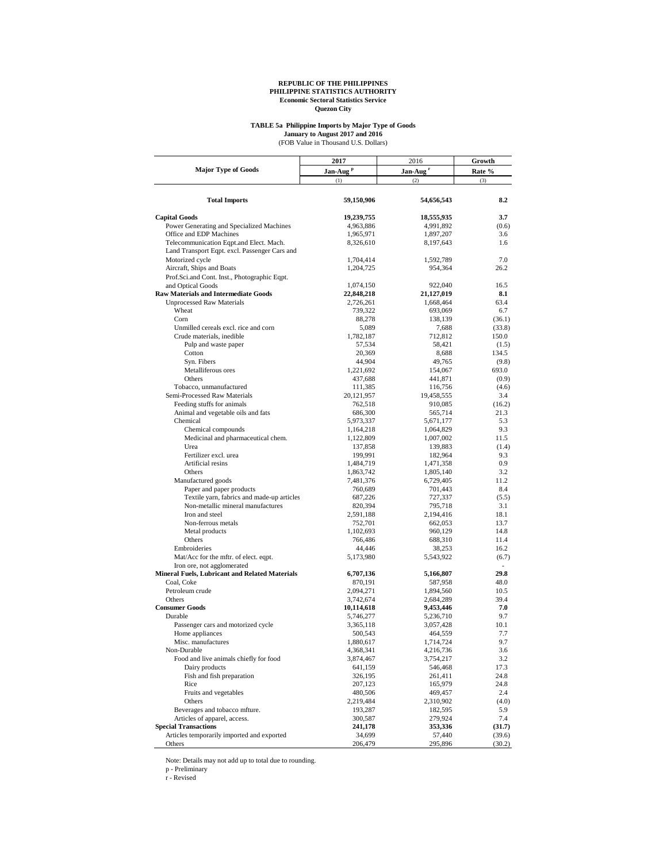# **TABLE 5a Philippine Imports by Major Type of Goods**

(FOB Value in Thousand U.S. Dollars) **January to August 2017 and 2016**

|                                                                                     | 2017                    | 2016                    | Growth<br>Rate % |  |
|-------------------------------------------------------------------------------------|-------------------------|-------------------------|------------------|--|
| <b>Major Type of Goods</b>                                                          | Jan-Aug <sup>P</sup>    | Jan-Aug <sup>r</sup>    |                  |  |
|                                                                                     | (1)                     | (2)                     | (3)              |  |
|                                                                                     |                         |                         |                  |  |
| <b>Total Imports</b>                                                                | 59,150,906              | 54,656,543              | 8.2              |  |
| <b>Capital Goods</b>                                                                | 19,239,755              | 18,555,935              | 3.7              |  |
| Power Generating and Specialized Machines                                           | 4,963,886               | 4,991,892               | (0.6)            |  |
| Office and EDP Machines                                                             | 1,965,971               | 1,897,207               | 3.6              |  |
| Telecommunication Eqpt.and Elect. Mach.                                             | 8,326,610               | 8,197,643               | 1.6              |  |
| Land Transport Eqpt. excl. Passenger Cars and                                       |                         |                         |                  |  |
| Motorized cycle                                                                     | 1,704,414               | 1,592,789               | 7.0              |  |
| Aircraft, Ships and Boats                                                           | 1,204,725               | 954,364                 | 26.2             |  |
| Prof.Sci.and Cont. Inst., Photographic Eqpt.                                        |                         |                         |                  |  |
| and Optical Goods                                                                   | 1,074,150               | 922,040                 | 16.5             |  |
| <b>Raw Materials and Intermediate Goods</b><br><b>Unprocessed Raw Materials</b>     | 22,848,218<br>2,726,261 | 21,127,019<br>1,668,464 | 8.1<br>63.4      |  |
| Wheat                                                                               | 739,322                 | 693,069                 | 6.7              |  |
| Corn                                                                                | 88,278                  | 138,139                 | (36.1)           |  |
| Unmilled cereals excl. rice and corn                                                | 5,089                   | 7,688                   | (33.8)           |  |
| Crude materials, inedible                                                           | 1,782,187               | 712,812                 | 150.0            |  |
| Pulp and waste paper                                                                | 57,534                  | 58,421                  | (1.5)            |  |
| Cotton                                                                              | 20,369                  | 8,688                   | 134.5            |  |
| Syn. Fibers                                                                         | 44,904                  | 49,765                  | (9.8)            |  |
| Metalliferous ores                                                                  | 1,221,692               | 154,067                 | 693.0            |  |
| Others                                                                              | 437,688                 | 441,871                 | (0.9)            |  |
| Tobacco, unmanufactured                                                             | 111,385                 | 116,756                 | (4.6)            |  |
| Semi-Processed Raw Materials                                                        | 20,121,957              | 19,458,555              | 3.4              |  |
| Feeding stuffs for animals                                                          | 762,518                 | 910,085                 | (16.2)           |  |
| Animal and vegetable oils and fats                                                  | 686,300                 | 565,714                 | 21.3             |  |
| Chemical                                                                            | 5,973,337               | 5,671,177               | 5.3              |  |
| Chemical compounds                                                                  | 1,164,218               | 1,064,829               | 9.3              |  |
| Medicinal and pharmaceutical chem.                                                  | 1,122,809               | 1,007,002               | 11.5             |  |
| Urea                                                                                | 137,858                 | 139,883                 | (1.4)            |  |
| Fertilizer excl. urea                                                               | 199,991                 | 182,964                 | 9.3              |  |
| Artificial resins                                                                   | 1,484,719               | 1,471,358               | 0.9              |  |
| Others                                                                              | 1,863,742               | 1,805,140               | 3.2              |  |
| Manufactured goods                                                                  | 7,481,376               | 6,729,405               | 11.2             |  |
| Paper and paper products                                                            | 760,689                 | 701,443                 | 8.4              |  |
| Textile yarn, fabrics and made-up articles                                          | 687,226                 | 727,337                 | (5.5)            |  |
| Non-metallic mineral manufactures                                                   | 820,394                 | 795,718                 | 3.1              |  |
| Iron and steel                                                                      | 2,591,188               | 2,194,416               | 18.1             |  |
| Non-ferrous metals                                                                  | 752,701                 | 662,053                 | 13.7             |  |
| Metal products                                                                      | 1,102,693               | 960,129                 | 14.8             |  |
| Others                                                                              | 766,486                 | 688,310                 | 11.4             |  |
| Embroideries                                                                        | 44,446                  | 38,253                  | 16.2             |  |
| Mat/Acc for the mftr. of elect. eqpt.                                               | 5,173,980               | 5,543,922               | (6.7)            |  |
| Iron ore, not agglomerated<br><b>Mineral Fuels, Lubricant and Related Materials</b> |                         |                         | ä,               |  |
| Coal, Coke                                                                          | 6,707,136               | 5,166,807               | 29.8<br>48.0     |  |
| Petroleum crude                                                                     | 870,191                 | 587,958                 | 10.5             |  |
| Others                                                                              | 2,094,271<br>3,742,674  | 1,894,560<br>2,684,289  | 39.4             |  |
| <b>Consumer Goods</b>                                                               | 10,114,618              | 9,453,446               | 7.0              |  |
| Durable                                                                             | 5,746,277               | 5,236,710               | 9.7              |  |
| Passenger cars and motorized cycle                                                  | 3,365,118               | 3,057,428               | 10.1             |  |
| Home appliances                                                                     | 500,543                 | 464,559                 | 7.7              |  |
| Misc. manufactures                                                                  | 1,880,617               | 1,714,724               | 9.7              |  |
| Non-Durable                                                                         | 4,368,341               | 4,216,736               | 3.6              |  |
| Food and live animals chiefly for food                                              | 3,874,467               | 3,754,217               | 3.2              |  |
| Dairy products                                                                      | 641,159                 | 546,468                 | 17.3             |  |
| Fish and fish preparation                                                           | 326,195                 | 261,411                 | 24.8             |  |
| Rice                                                                                | 207,123                 | 165,979                 | 24.8             |  |
| Fruits and vegetables                                                               | 480,506                 | 469,457                 | 2.4              |  |
| Others                                                                              | 2,219,484               | 2,310,902               | (4.0)            |  |
| Beverages and tobacco mfture.                                                       | 193,287                 | 182,595                 | 5.9              |  |
| Articles of apparel, access.                                                        | 300,587                 | 279,924                 | 7.4              |  |
| <b>Special Transactions</b>                                                         | 241,178                 | 353,336                 | (31.7)           |  |
| Articles temporarily imported and exported                                          | 34,699                  | 57,440                  | (39.6)           |  |
| Others                                                                              | 206,479                 | 295,896                 | (30.2)           |  |

Note: Details may not add up to total due to rounding. p - Preliminary r - Revised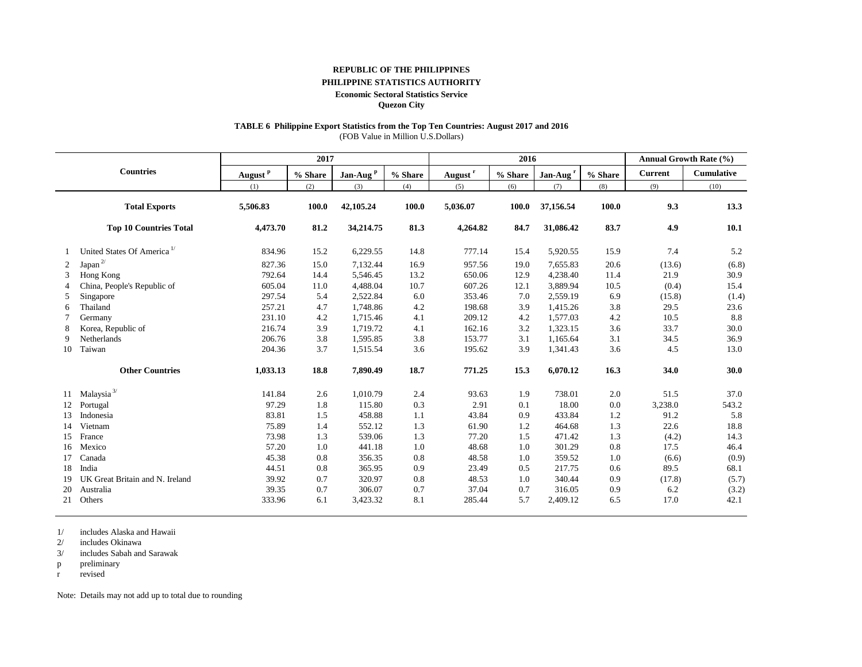#### **REPUBLIC OF THE PHILIPPINES**

#### **PHILIPPINE STATISTICS AUTHORITY**

#### **Economic Sectoral Statistics Service**

**Quezon City**

# **TABLE 6 Philippine Export Statistics from the Top Ten Countries: August 2017 and 2016**

(FOB Value in Million U.S.Dollars)

|    |                                        | 2017                |            |                      |         | 2016                |         |                      |         | Annual Growth Rate (%) |            |  |
|----|----------------------------------------|---------------------|------------|----------------------|---------|---------------------|---------|----------------------|---------|------------------------|------------|--|
|    | <b>Countries</b>                       | August <sup>P</sup> | $\%$ Share | Jan-Aug <sup>P</sup> | % Share | August <sup>r</sup> | % Share | Jan-Aug <sup>r</sup> | % Share | <b>Current</b>         | Cumulative |  |
|    |                                        | (1)                 | (2)        | (3)                  | (4)     | (5)                 | (6)     | (7)                  | (8)     | (9)                    | (10)       |  |
|    | <b>Total Exports</b>                   | 5,506.83            | 100.0      | 42,105.24            | 100.0   | 5,036.07            | 100.0   | 37,156.54            | 100.0   | 9.3                    | 13.3       |  |
|    | <b>Top 10 Countries Total</b>          | 4,473.70            | 81.2       | 34,214.75            | 81.3    | 4,264.82            | 84.7    | 31,086.42            | 83.7    | 4.9                    | 10.1       |  |
|    | United States Of America <sup>1/</sup> | 834.96              | 15.2       | 6,229.55             | 14.8    | 777.14              | 15.4    | 5,920.55             | 15.9    | 7.4                    | 5.2        |  |
| 2  | Japan $^{2\prime}$                     | 827.36              | 15.0       | 7,132.44             | 16.9    | 957.56              | 19.0    | 7,655.83             | 20.6    | (13.6)                 | (6.8)      |  |
| 3  | Hong Kong                              | 792.64              | 14.4       | 5,546.45             | 13.2    | 650.06              | 12.9    | 4,238.40             | 11.4    | 21.9                   | 30.9       |  |
|    | China, People's Republic of            | 605.04              | 11.0       | 4,488.04             | 10.7    | 607.26              | 12.1    | 3,889.94             | 10.5    | (0.4)                  | 15.4       |  |
| 5  | Singapore                              | 297.54              | 5.4        | 2,522.84             | 6.0     | 353.46              | 7.0     | 2,559.19             | 6.9     | (15.8)                 | (1.4)      |  |
| 6  | Thailand                               | 257.21              | 4.7        | 1,748.86             | 4.2     | 198.68              | 3.9     | 1,415.26             | 3.8     | 29.5                   | 23.6       |  |
|    | Germany                                | 231.10              | 4.2        | 1,715.46             | 4.1     | 209.12              | 4.2     | 1,577.03             | 4.2     | 10.5                   | 8.8        |  |
| 8  | Korea, Republic of                     | 216.74              | 3.9        | 1,719.72             | 4.1     | 162.16              | 3.2     | 1,323.15             | 3.6     | 33.7                   | 30.0       |  |
| 9  | Netherlands                            | 206.76              | 3.8        | 1,595.85             | 3.8     | 153.77              | 3.1     | 1,165.64             | 3.1     | 34.5                   | 36.9       |  |
| 10 | Taiwan                                 | 204.36              | 3.7        | 1,515.54             | 3.6     | 195.62              | 3.9     | 1,341.43             | 3.6     | 4.5                    | 13.0       |  |
|    | <b>Other Countries</b>                 | 1,033.13            | 18.8       | 7,890.49             | 18.7    | 771.25              | 15.3    | 6,070.12             | 16.3    | 34.0                   | 30.0       |  |
| 11 | Malaysia <sup>3/</sup>                 | 141.84              | 2.6        | 1,010.79             | 2.4     | 93.63               | 1.9     | 738.01               | 2.0     | 51.5                   | 37.0       |  |
| 12 | Portugal                               | 97.29               | 1.8        | 115.80               | 0.3     | 2.91                | 0.1     | 18.00                | 0.0     | 3,238.0                | 543.2      |  |
| 13 | Indonesia                              | 83.81               | 1.5        | 458.88               | 1.1     | 43.84               | 0.9     | 433.84               | 1.2     | 91.2                   | 5.8        |  |
| 14 | Vietnam                                | 75.89               | 1.4        | 552.12               | 1.3     | 61.90               | 1.2     | 464.68               | 1.3     | 22.6                   | 18.8       |  |
| 15 | France                                 | 73.98               | 1.3        | 539.06               | 1.3     | 77.20               | 1.5     | 471.42               | 1.3     | (4.2)                  | 14.3       |  |
| 16 | Mexico                                 | 57.20               | 1.0        | 441.18               | 1.0     | 48.68               | 1.0     | 301.29               | 0.8     | 17.5                   | 46.4       |  |
| 17 | Canada                                 | 45.38               | 0.8        | 356.35               | 0.8     | 48.58               | 1.0     | 359.52               | 1.0     | (6.6)                  | (0.9)      |  |
| 18 | India                                  | 44.51               | 0.8        | 365.95               | 0.9     | 23.49               | 0.5     | 217.75               | 0.6     | 89.5                   | 68.1       |  |
| 19 | UK Great Britain and N. Ireland        | 39.92               | 0.7        | 320.97               | 0.8     | 48.53               | 1.0     | 340.44               | 0.9     | (17.8)                 | (5.7)      |  |
| 20 | Australia                              | 39.35               | 0.7        | 306.07               | 0.7     | 37.04               | 0.7     | 316.05               | 0.9     | 6.2                    | (3.2)      |  |
| 21 | Others                                 | 333.96              | 6.1        | 3,423.32             | 8.1     | 285.44              | 5.7     | 2,409.12             | 6.5     | 17.0                   | 42.1       |  |

1/ includes Alaska and Hawaii

2/ includes Okinawa

3/ includes Sabah and Sarawak

p preliminary

r revised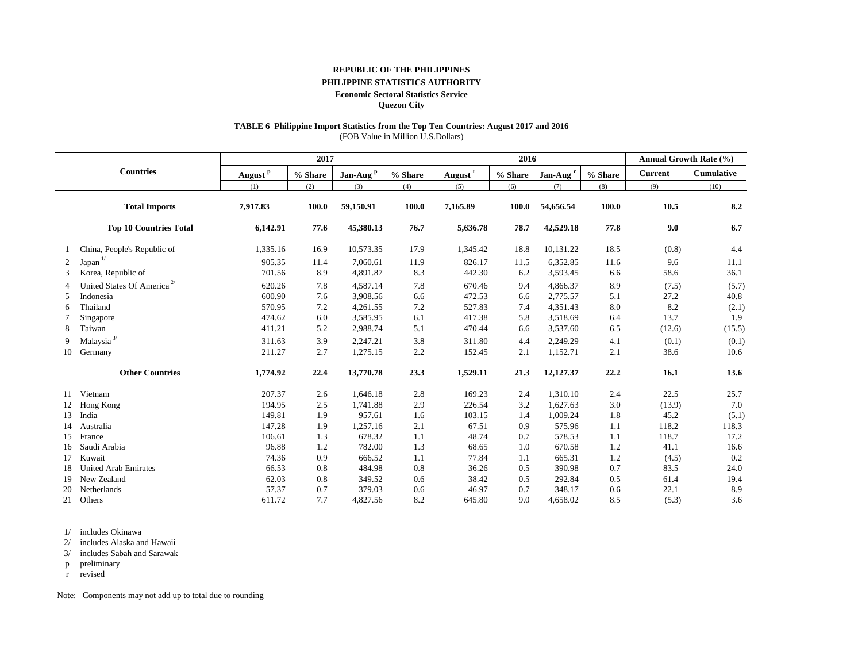#### **REPUBLIC OF THE PHILIPPINES**

### **PHILIPPINE STATISTICS AUTHORITY**

#### **Economic Sectoral Statistics Service**

**Quezon City**

# **TABLE 6 Philippine Import Statistics from the Top Ten Countries: August 2017 and 2016**

(FOB Value in Million U.S.Dollars)

|    |                                        |                     | 2017    |                      |         | 2016                |         |                      |         | <b>Annual Growth Rate (%)</b> |            |  |
|----|----------------------------------------|---------------------|---------|----------------------|---------|---------------------|---------|----------------------|---------|-------------------------------|------------|--|
|    | <b>Countries</b>                       | August <sup>P</sup> | % Share | Jan-Aug <sup>P</sup> | % Share | August <sup>r</sup> | % Share | Jan-Aug <sup>r</sup> | % Share | <b>Current</b>                | Cumulative |  |
|    |                                        | (1)                 | (2)     | (3)                  | (4)     | (5)                 | (6)     | (7)                  | (8)     | (9)                           | (10)       |  |
|    | <b>Total Imports</b>                   | 7,917.83            | 100.0   | 59,150.91            | 100.0   | 7,165.89            | 100.0   | 54,656.54            | 100.0   | 10.5                          | 8.2        |  |
|    | <b>Top 10 Countries Total</b>          | 6,142.91            | 77.6    | 45,380.13            | 76.7    | 5,636.78            | 78.7    | 42,529.18            | 77.8    | 9.0                           | 6.7        |  |
|    | China, People's Republic of            | 1,335.16            | 16.9    | 10,573.35            | 17.9    | 1,345.42            | 18.8    | 10,131.22            | 18.5    | (0.8)                         | 4.4        |  |
| 2  | Japan $1/$                             | 905.35              | 11.4    | 7,060.61             | 11.9    | 826.17              | 11.5    | 6,352.85             | 11.6    | 9.6                           | 11.1       |  |
| 3  | Korea, Republic of                     | 701.56              | 8.9     | 4,891.87             | 8.3     | 442.30              | 6.2     | 3,593.45             | 6.6     | 58.6                          | 36.1       |  |
|    | United States Of America <sup>2/</sup> | 620.26              | 7.8     | 4.587.14             | 7.8     | 670.46              | 9.4     | 4,866.37             | 8.9     | (7.5)                         | (5.7)      |  |
| 5  | Indonesia                              | 600.90              | 7.6     | 3,908.56             | 6.6     | 472.53              | 6.6     | 2,775.57             | 5.1     | 27.2                          | 40.8       |  |
| 6  | Thailand                               | 570.95              | 7.2     | 4,261.55             | 7.2     | 527.83              | 7.4     | 4,351.43             | 8.0     | 8.2                           | (2.1)      |  |
|    | Singapore                              | 474.62              | 6.0     | 3,585.95             | 6.1     | 417.38              | 5.8     | 3,518.69             | 6.4     | 13.7                          | 1.9        |  |
| 8  | Taiwan                                 | 411.21              | 5.2     | 2,988.74             | 5.1     | 470.44              | 6.6     | 3,537.60             | 6.5     | (12.6)                        | (15.5)     |  |
| 9  | Malaysia $^{3\prime}$                  | 311.63              | 3.9     | 2.247.21             | 3.8     | 311.80              | 4.4     | 2,249.29             | 4.1     | (0.1)                         | (0.1)      |  |
| 10 | Germany                                | 211.27              | 2.7     | 1,275.15             | 2.2     | 152.45              | 2.1     | 1,152.71             | 2.1     | 38.6                          | 10.6       |  |
|    | <b>Other Countries</b>                 | 1,774.92            | 22.4    | 13,770.78            | 23.3    | 1,529.11            | 21.3    | 12,127.37            | 22.2    | 16.1                          | 13.6       |  |
| 11 | Vietnam                                | 207.37              | 2.6     | 1,646.18             | 2.8     | 169.23              | 2.4     | 1,310.10             | 2.4     | 22.5                          | 25.7       |  |
| 12 | Hong Kong                              | 194.95              | 2.5     | 1,741.88             | 2.9     | 226.54              | 3.2     | 1,627.63             | 3.0     | (13.9)                        | 7.0        |  |
| 13 | India                                  | 149.81              | 1.9     | 957.61               | 1.6     | 103.15              | 1.4     | 1,009.24             | 1.8     | 45.2                          | (5.1)      |  |
| 14 | Australia                              | 147.28              | 1.9     | 1,257.16             | 2.1     | 67.51               | 0.9     | 575.96               | 1.1     | 118.2                         | 118.3      |  |
| 15 | France                                 | 106.61              | 1.3     | 678.32               | 1.1     | 48.74               | 0.7     | 578.53               | 1.1     | 118.7                         | 17.2       |  |
| 16 | Saudi Arabia                           | 96.88               | 1.2     | 782.00               | 1.3     | 68.65               | 1.0     | 670.58               | 1.2     | 41.1                          | 16.6       |  |
| 17 | Kuwait                                 | 74.36               | 0.9     | 666.52               | 1.1     | 77.84               | 1.1     | 665.31               | 1.2     | (4.5)                         | 0.2        |  |
| 18 | <b>United Arab Emirates</b>            | 66.53               | 0.8     | 484.98               | 0.8     | 36.26               | 0.5     | 390.98               | 0.7     | 83.5                          | 24.0       |  |
| 19 | New Zealand                            | 62.03               | 0.8     | 349.52               | 0.6     | 38.42               | 0.5     | 292.84               | 0.5     | 61.4                          | 19.4       |  |
| 20 | Netherlands                            | 57.37               | 0.7     | 379.03               | 0.6     | 46.97               | 0.7     | 348.17               | 0.6     | 22.1                          | 8.9        |  |
| 21 | Others                                 | 611.72              | 7.7     | 4,827.56             | 8.2     | 645.80              | 9.0     | 4,658.02             | 8.5     | (5.3)                         | 3.6        |  |

1/ includes Okinawa

2/ includes Alaska and Hawaii

3/ includes Sabah and Sarawak

p preliminary

r revised

Note: Components may not add up to total due to rounding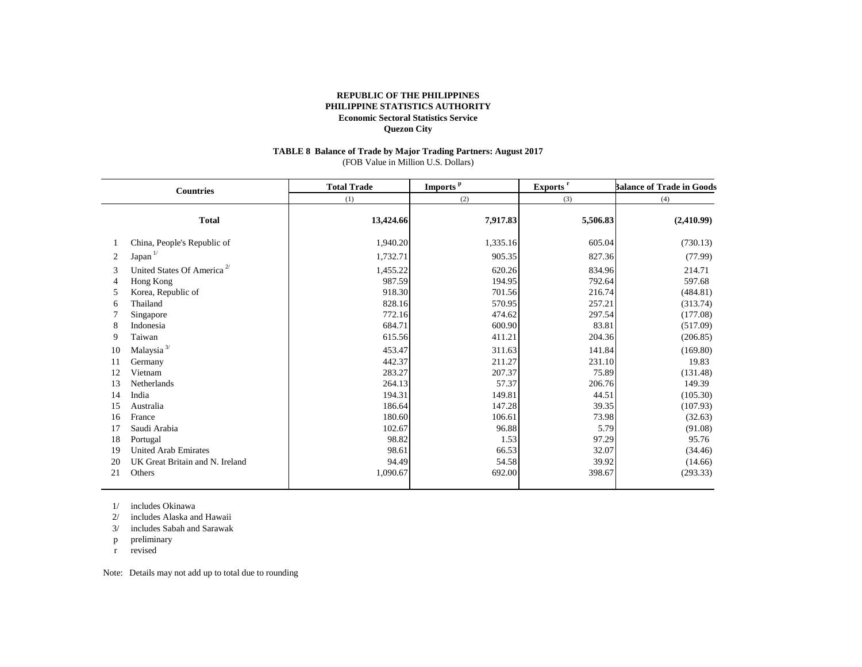#### **TABLE 8 Balance of Trade by Major Trading Partners: August 2017** (FOB Value in Million U.S. Dollars)

|                                                    | <b>Countries</b>                                                                                                                                                                         | <b>Total Trade</b>                                                                                           | Imports <sup>p</sup>                                                                                      | Exports <sup>r</sup>                                                                                     | <b>Balance of Trade in Goods</b><br>(4)                                                                                 |  |
|----------------------------------------------------|------------------------------------------------------------------------------------------------------------------------------------------------------------------------------------------|--------------------------------------------------------------------------------------------------------------|-----------------------------------------------------------------------------------------------------------|----------------------------------------------------------------------------------------------------------|-------------------------------------------------------------------------------------------------------------------------|--|
|                                                    |                                                                                                                                                                                          | (1)                                                                                                          | (2)                                                                                                       | (3)                                                                                                      |                                                                                                                         |  |
|                                                    | <b>Total</b>                                                                                                                                                                             | 13,424.66                                                                                                    | 7,917.83                                                                                                  | 5,506.83                                                                                                 | (2,410.99)                                                                                                              |  |
|                                                    | China, People's Republic of                                                                                                                                                              | 1,940.20                                                                                                     | 1,335.16                                                                                                  | 605.04                                                                                                   | (730.13)                                                                                                                |  |
| 2                                                  | Japan <sup>1/</sup>                                                                                                                                                                      | 1,732.71                                                                                                     | 905.35                                                                                                    | 827.36                                                                                                   | (77.99)                                                                                                                 |  |
| 3<br>4<br>5<br>6<br>8<br>9<br>10<br>11<br>12<br>13 | United States Of America <sup>2/</sup><br>Hong Kong<br>Korea, Republic of<br>Thailand<br>Singapore<br>Indonesia<br>Taiwan<br>Malaysia <sup>3/</sup><br>Germany<br>Vietnam<br>Netherlands | 1,455.22<br>987.59<br>918.30<br>828.16<br>772.16<br>684.71<br>615.56<br>453.47<br>442.37<br>283.27<br>264.13 | 620.26<br>194.95<br>701.56<br>570.95<br>474.62<br>600.90<br>411.21<br>311.63<br>211.27<br>207.37<br>57.37 | 834.96<br>792.64<br>216.74<br>257.21<br>297.54<br>83.81<br>204.36<br>141.84<br>231.10<br>75.89<br>206.76 | 214.71<br>597.68<br>(484.81)<br>(313.74)<br>(177.08)<br>(517.09)<br>(206.85)<br>(169.80)<br>19.83<br>(131.48)<br>149.39 |  |
| 14                                                 | India                                                                                                                                                                                    | 194.31                                                                                                       | 149.81                                                                                                    | 44.51                                                                                                    | (105.30)                                                                                                                |  |
| 15<br>16<br>17<br>18<br>19                         | Australia<br>France<br>Saudi Arabia<br>Portugal<br><b>United Arab Emirates</b>                                                                                                           | 186.64<br>180.60<br>102.67<br>98.82<br>98.61                                                                 | 147.28<br>106.61<br>96.88<br>1.53<br>66.53                                                                | 39.35<br>73.98<br>5.79<br>97.29<br>32.07                                                                 | (107.93)<br>(32.63)<br>(91.08)<br>95.76<br>(34.46)                                                                      |  |
| 20<br>21                                           | UK Great Britain and N. Ireland<br>Others                                                                                                                                                | 94.49<br>1,090.67                                                                                            | 54.58<br>692.00                                                                                           | 39.92<br>398.67                                                                                          | (14.66)<br>(293.33)                                                                                                     |  |

1/ includes Okinawa

2/ includes Alaska and Hawaii

3/ includes Sabah and Sarawak

p preliminary

r revised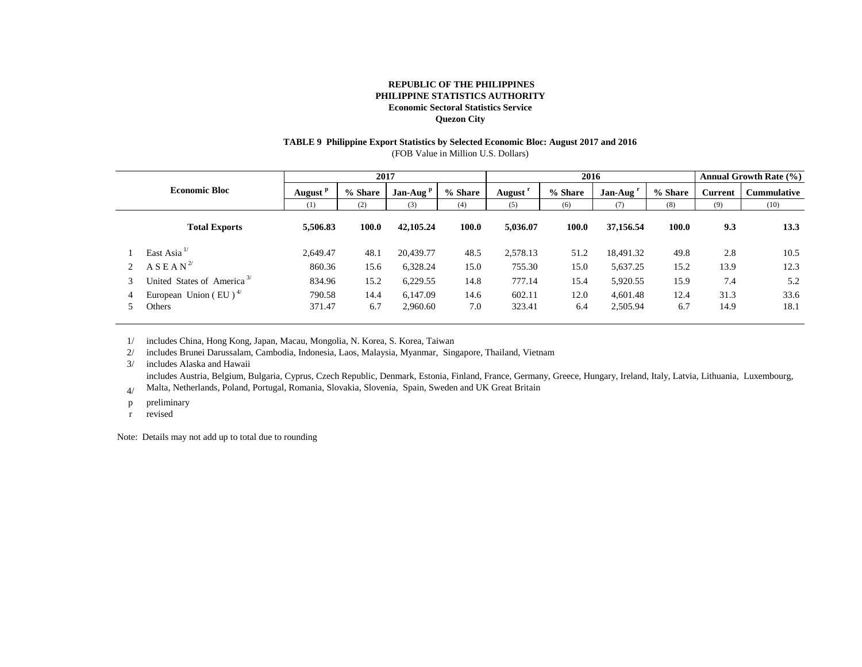# **TABLE 9 Philippine Export Statistics by Selected Economic Bloc: August 2017 and 2016**

(FOB Value in Million U.S. Dollars)

|  |                                                |          | 2017    |            |         | 2016                |         |                      | <b>Annual Growth Rate (%)</b> |                |                    |
|--|------------------------------------------------|----------|---------|------------|---------|---------------------|---------|----------------------|-------------------------------|----------------|--------------------|
|  | <b>Economic Bloc</b>                           |          | % Share | $Jan-Augp$ | % Share | August <sup>r</sup> | % Share | Jan-Aug <sup>'</sup> | % Share                       | <b>Current</b> | <b>Cummulative</b> |
|  |                                                |          | (2)     | (3)        | (4)     | (5)                 | (6)     | (7)                  | (8)                           | (9)            | (10)               |
|  | <b>Total Exports</b>                           | 5,506.83 | 100.0   | 42,105.24  | 100.0   | 5,036.07            | 100.0   | 37,156.54            | 100.0                         | 9.3            | 13.3               |
|  | East Asia $^{1/}$                              | 2.649.47 | 48.1    | 20,439.77  | 48.5    | 2,578.13            | 51.2    | 18,491.32            | 49.8                          | 2.8            | 10.5               |
|  | A S E A N <sup>2</sup>                         | 860.36   | 15.6    | 6,328.24   | 15.0    | 755.30              | 15.0    | 5,637.25             | 15.2                          | 13.9           | 12.3               |
|  | United States of America <sup>3/</sup>         | 834.96   | 15.2    | 6,229.55   | 14.8    | 777.14              | 15.4    | 5,920.55             | 15.9                          | 7.4            | 5.2                |
|  | European Union (EU) <sup><math>4/</math></sup> | 790.58   | 14.4    | 6.147.09   | 14.6    | 602.11              | 12.0    | 4.601.48             | 12.4                          | 31.3           | 33.6               |
|  | Others                                         | 371.47   | 6.7     | 2,960.60   | 7.0     | 323.41              | 6.4     | 2,505.94             | 6.7                           | 14.9           | 18.1               |

1/ includes China, Hong Kong, Japan, Macau, Mongolia, N. Korea, S. Korea, Taiwan

2/ includes Brunei Darussalam, Cambodia, Indonesia, Laos, Malaysia, Myanmar, Singapore, Thailand, Vietnam

3/ includes Alaska and Hawaii

includes Austria, Belgium, Bulgaria, Cyprus, Czech Republic, Denmark, Estonia, Finland, France, Germany, Greece, Hungary, Ireland, Italy, Latvia, Lithuania, Luxembourg,

4/ Malta, Netherlands, Poland, Portugal, Romania, Slovakia, Slovenia, Spain, Sweden and UK Great Britain

p preliminary

r revised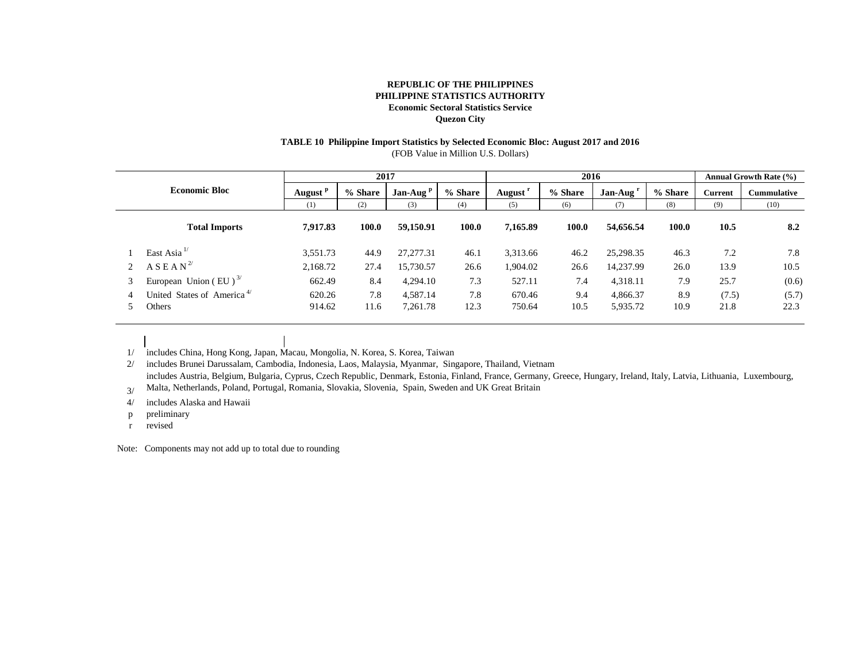# **TABLE 10 Philippine Import Statistics by Selected Economic Bloc: August 2017 and 2016**

(FOB Value in Million U.S. Dollars)

|   |                                        |          | 2017    |             |         | 2016                |         |           | Annual Growth Rate (%) |         |                    |
|---|----------------------------------------|----------|---------|-------------|---------|---------------------|---------|-----------|------------------------|---------|--------------------|
|   | <b>Economic Bloc</b>                   |          | % Share | $Jan-Auqp$  | % Share | August <sup>r</sup> | % Share | Jan-Aug   | % Share                | Current | <b>Cummulative</b> |
|   |                                        | (1)      | (2)     | (3)         | (4)     | (5)                 | (6)     | (7)       | (8)                    | (9)     | (10)               |
|   | <b>Total Imports</b>                   | 7.917.83 | 100.0   | 59,150.91   | 100.0   | 7.165.89            | 100.0   | 54,656.54 | 100.0                  | 10.5    | 8.2                |
|   | East Asia $^{1/}$                      | 3,551.73 | 44.9    | 27, 277. 31 | 46.1    | 3,313.66            | 46.2    | 25,298.35 | 46.3                   | 7.2     | 7.8                |
|   | A S E A N <sup>2</sup>                 | 2,168.72 | 27.4    | 15,730.57   | 26.6    | .904.02             | 26.6    | 14,237.99 | 26.0                   | 13.9    | 10.5               |
| 3 | European Union (EU) $^{3/}$            | 662.49   | 8.4     | 4,294.10    | 7.3     | 527.11              | 7.4     | 4,318.11  | 7.9                    | 25.7    | (0.6)              |
|   | United States of America <sup>4/</sup> | 620.26   | 7.8     | 4,587.14    | 7.8     | 670.46              | 9.4     | 4,866.37  | 8.9                    | (7.5)   | (5.7)<br>22.3      |
|   | Others                                 | 914.62   | 11.6    | 7,261.78    | 12.3    | 750.64              | 10.5    | 5,935.72  | 10.9                   | 21.8    |                    |

1/ includes China, Hong Kong, Japan, Macau, Mongolia, N. Korea, S. Korea, Taiwan

2/ includes Brunei Darussalam, Cambodia, Indonesia, Laos, Malaysia, Myanmar, Singapore, Thailand, Vietnam includes Austria, Belgium, Bulgaria, Cyprus, Czech Republic, Denmark, Estonia, Finland, France, Germany, Greece, Hungary, Ireland, Italy, Latvia, Lithuania, Luxembourg,

3/ Malta, Netherlands, Poland, Portugal, Romania, Slovakia, Slovenia, Spain, Sweden and UK Great Britain

4/ includes Alaska and Hawaii

p preliminary

r revised

Note: Components may not add up to total due to rounding